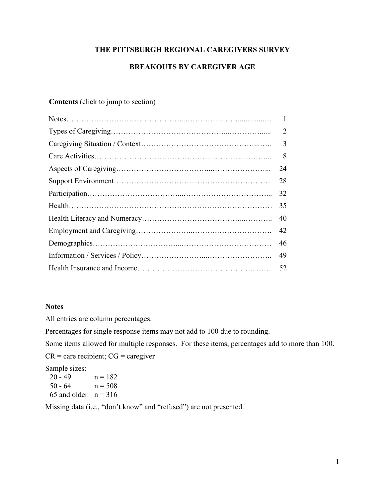# **THE PITTSBURGH REGIONAL CAREGIVERS SURVEY**

# **BREAKOUTS BY CAREGIVER AGE**

# **Contents** (click to jump to section)

| $\overline{2}$ |
|----------------|
| 3              |
| 8              |
| 24             |
| 28             |
| 32             |
| 35             |
| 40             |
| 42             |
| 46             |
| 49             |
| 52             |
|                |

# **Notes**

All entries are column percentages.

Percentages for single response items may not add to 100 due to rounding.

Some items allowed for multiple responses. For these items, percentages add to more than 100.

 $CR =$  care recipient;  $CG =$  caregiver

Sample sizes:

| $20 - 49$              | $n = 182$ |
|------------------------|-----------|
| $50 - 64$              | $n = 508$ |
| 65 and older $n = 316$ |           |

Missing data (i.e., "don't know" and "refused") are not presented.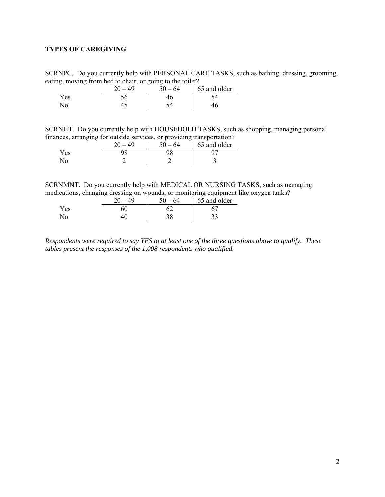# <span id="page-1-0"></span>**TYPES OF CAREGIVING**

SCRNPC. Do you currently help with PERSONAL CARE TASKS, such as bathing, dressing, grooming, eating, moving from bed to chair, or going to the toilet?

|      | 20<br>49 | .64<br>$50 -$ | 65 and older |
|------|----------|---------------|--------------|
| Y es |          |               |              |
|      |          |               |              |

SCRNHT. Do you currently help with HOUSEHOLD TASKS, such as shopping, managing personal finances, arranging for outside services, or providing transportation?

|     | 40<br>20 | - 64<br>$\epsilon$ $\alpha$ | 65 and older |
|-----|----------|-----------------------------|--------------|
| Yes |          | ገዐ                          |              |
|     |          |                             | Ē            |

SCRNMNT. Do you currently help with MEDICAL OR NURSING TASKS, such as managing medications, changing dressing on wounds, or monitoring equipment like oxygen tanks?

|      | 40 | $50 - 64$ | 65 and older |
|------|----|-----------|--------------|
| Y es |    |           |              |
|      |    | 20.       |              |

*Respondents were required to say YES to at least one of the three questions above to qualify. These tables present the responses of the 1,008 respondents who qualified.*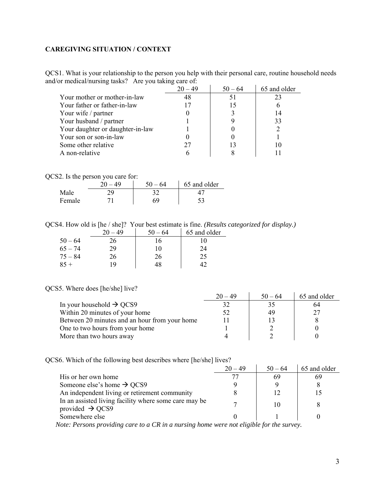# <span id="page-2-0"></span>**CAREGIVING SITUATION / CONTEXT**

QCS1. What is your relationship to the person you help with their personal care, routine household needs and/or medical/nursing tasks? Are you taking care of:  $\frac{1}{2}$ 

|                                  | $20 - 49$ | $50 - 64$ | 65 and older |
|----------------------------------|-----------|-----------|--------------|
| Your mother or mother-in-law     | 48        | 51        |              |
| Your father or father-in-law     |           | 15        |              |
| Your wife / partner              |           |           | 14           |
| Your husband / partner           |           |           | 33           |
| Your daughter or daughter-in-law |           |           |              |
| Your son or son-in-law           |           |           |              |
| Some other relative              | 27        |           |              |
| A non-relative                   |           |           |              |

QCS2. Is the person you care for:

|        | ጎሰ<br>40 | 50<br>- 64 | 65 and older |
|--------|----------|------------|--------------|
| Male   |          |            |              |
| Female |          | 69         |              |

QCS4. How old is [he / she]? Your best estimate is fine. *(Results categorized for display.)*

|           | 20<br>49 | $50 - 64$ | 65 and older |
|-----------|----------|-----------|--------------|
| $50 - 64$ | 26       | 16        | 10           |
| $65 - 74$ | 29       | 10        | 24           |
| $75 - 84$ | 26       | 26        | 25           |
| $85 +$    | 19       | 48        |              |

## QCS5. Where does [he/she] live?

|                                               | $20 - 49$ | $50 - 64$ | 65 and older |
|-----------------------------------------------|-----------|-----------|--------------|
| In your household $\rightarrow$ QCS9          |           |           | 64           |
| Within 20 minutes of your home                | 52        | 49        |              |
| Between 20 minutes and an hour from your home |           |           |              |
| One to two hours from your home               |           |           |              |
| More than two hours away                      |           |           |              |

QCS6. Which of the following best describes where [he/she] lives?

|                                                                                      | $20 - 49$ | $50 - 64$                                                                                                            | 65 and older |
|--------------------------------------------------------------------------------------|-----------|----------------------------------------------------------------------------------------------------------------------|--------------|
| His or her own home                                                                  |           | 69                                                                                                                   |              |
| Someone else's home $\rightarrow$ QCS9                                               |           |                                                                                                                      |              |
| An independent living or retirement community                                        |           |                                                                                                                      |              |
| In an assisted living facility where some care may be<br>provided $\rightarrow$ QCS9 |           | 10                                                                                                                   |              |
| Somewhere else                                                                       |           |                                                                                                                      |              |
| $\sim$ $\sim$ $\sim$ $\sim$ $\sim$ $\sim$<br>$\mathbf{r}$ $\mathbf{r}$               |           | $\mathbf{1}$ $\mathbf{1}$ $\mathbf{1}$ $\mathbf{1}$ $\mathbf{1}$ $\mathbf{1}$ $\mathbf{1}$ $\mathbf{1}$ $\mathbf{1}$ |              |

 *Note: Persons providing care to a CR in a nursing home were not eligible for the survey.*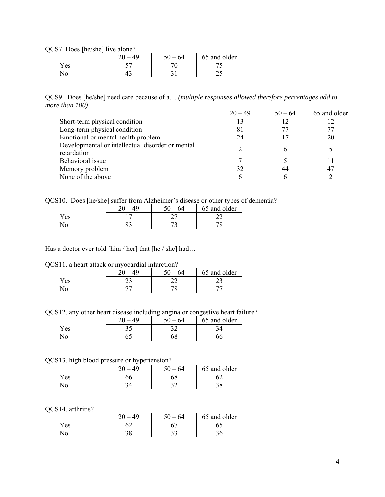QCS7. Does [he/she] live alone?

|     | 40 | 64<br>$50 -$ | 65 and older |
|-----|----|--------------|--------------|
| ′es |    |              |              |
| N٥  |    |              |              |

QCS9. Does [he/she] need care because of a… *(multiple responses allowed therefore percentages add to more than 100)*  20  $\overline{40}$   $\overline{50}$   $\overline{64}$   $\overline{65}$  and older

|                                                  | $20 - 49$ | $50 - 64$ | 65 and older |
|--------------------------------------------------|-----------|-----------|--------------|
| Short-term physical condition                    | 13        | 12        | 12           |
| Long-term physical condition                     | 81        | 77        | 77           |
| Emotional or mental health problem               | 24        | 17        | 20           |
| Developmental or intellectual disorder or mental |           | 6         |              |
| retardation                                      |           |           |              |
| Behavioral issue                                 |           |           |              |
| Memory problem                                   | 32        | 44        |              |
| None of the above                                | 6         |           |              |

QCS10. Does [he/she] suffer from Alzheimer's disease or other types of dementia?

|      | -64<br>50 – | - -<br>65 and older |
|------|-------------|---------------------|
| Y es |             |                     |
|      |             |                     |

Has a doctor ever told [him / her] that [he / she] had...

QCS11. a heart attack or myocardial infarction?

|      | 20<br>49 | $50 - 64$ | 65 and older |
|------|----------|-----------|--------------|
| Y es |          |           |              |
| No   |          |           |              |

QCS12. any other heart disease including angina or congestive heart failure?

|     | $\Delta\Omega$ | $-64$<br>50 | 65 and older |
|-----|----------------|-------------|--------------|
| Yes |                |             |              |
|     |                | 58          |              |

#### QCS13. high blood pressure or hypertension?

|     | 40 | 5٨<br>64 | 65 and older |
|-----|----|----------|--------------|
| Yes |    |          |              |
|     |    |          | JU           |

#### QCS14. arthritis?

|      |     | 64<br>50  | 65 and older |
|------|-----|-----------|--------------|
| Y es |     |           |              |
|      | າ ດ | າາ<br>ر ر |              |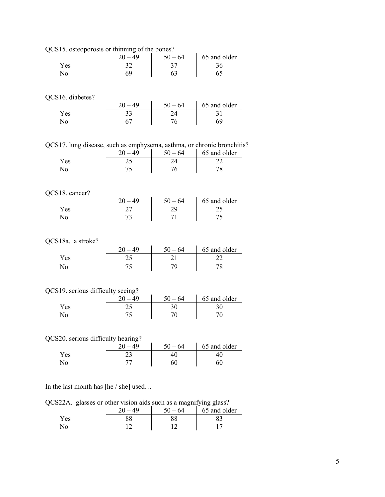| QCS15. osteoporosis or thinning of the bones?                          |                    |                                                                             |                                                                                                                          |
|------------------------------------------------------------------------|--------------------|-----------------------------------------------------------------------------|--------------------------------------------------------------------------------------------------------------------------|
|                                                                        | $20 - 49$          |                                                                             |                                                                                                                          |
| Yes                                                                    | 32                 |                                                                             | $\begin{array}{c c}\n50 - 64 & 65 \text{ and older} \\ \hline\n37 & 36 \\ 63 & 65\n\end{array}$                          |
| No                                                                     | 69                 |                                                                             |                                                                                                                          |
|                                                                        |                    |                                                                             |                                                                                                                          |
| QCS16. diabetes?                                                       |                    |                                                                             |                                                                                                                          |
|                                                                        |                    |                                                                             | $\begin{array}{c cc}\n 20 - 49 & 50 - 64 & 65 \text{ and older} \\  \hline\n 33 & 24 & 31 \\  67 & 76 & 69\n\end{array}$ |
| Yes                                                                    |                    |                                                                             |                                                                                                                          |
| No                                                                     |                    |                                                                             |                                                                                                                          |
|                                                                        |                    |                                                                             |                                                                                                                          |
| QCS17. lung disease, such as emphysema, asthma, or chronic bronchitis? |                    |                                                                             |                                                                                                                          |
| Yes                                                                    |                    | $\begin{array}{c c} 20-49 & 50-64 \\ \hline 25 & 24 \\ 75 & 76 \end{array}$ | 65 and older<br>22                                                                                                       |
| No                                                                     |                    |                                                                             | 78                                                                                                                       |
|                                                                        |                    |                                                                             |                                                                                                                          |
| QCS18. cancer?                                                         |                    |                                                                             |                                                                                                                          |
|                                                                        |                    |                                                                             |                                                                                                                          |
| Yes                                                                    |                    |                                                                             | $\begin{array}{c c c}\n20-49 & 50-64 & 65 \text{ and older} \\ \hline\n27 & 29 & 25 \\ 73 & 71 & 75\n\end{array}$        |
| No                                                                     |                    |                                                                             |                                                                                                                          |
|                                                                        |                    |                                                                             |                                                                                                                          |
| QCS18a. a stroke?                                                      |                    |                                                                             |                                                                                                                          |
|                                                                        | $\frac{20-49}{25}$ | $\frac{50-64}{21}$ 79                                                       | $\frac{65 \text{ and older}}{22}$                                                                                        |
| Yes                                                                    |                    |                                                                             | 22                                                                                                                       |
| No                                                                     | 75                 |                                                                             | 78                                                                                                                       |
| QCS19. serious difficulty seeing?                                      |                    |                                                                             |                                                                                                                          |
|                                                                        |                    |                                                                             | 65 and older                                                                                                             |
| Yes                                                                    | $\frac{20-49}{25}$ | $\frac{50 - 64}{30}$<br>70                                                  | 30                                                                                                                       |
| No                                                                     | 75                 |                                                                             | 70                                                                                                                       |
|                                                                        |                    |                                                                             |                                                                                                                          |
| QCS20. serious difficulty hearing?                                     |                    |                                                                             |                                                                                                                          |
|                                                                        | $20 - 49$          | $50 - 64$                                                                   | 65 and older                                                                                                             |
| Yes                                                                    | 23                 | $\overline{40}$                                                             | 40                                                                                                                       |
| No                                                                     | 77                 | 60                                                                          | 60                                                                                                                       |
|                                                                        |                    |                                                                             |                                                                                                                          |
| In the last month has $[he / she]$ used.                               |                    |                                                                             |                                                                                                                          |

 $s \lfloor he / she \rfloor$  used

QCS22A. glasses or other vision aids such as a magnifying glass?

|     | 40 | $\tilde{\phantom{a}}$<br>$50 -$<br>64 | $\sim$ $\sim$<br>65 and older |
|-----|----|---------------------------------------|-------------------------------|
| Yes |    |                                       |                               |
| No  |    |                                       |                               |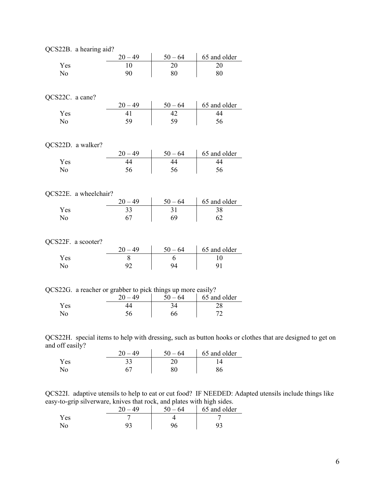| QCS22B. a hearing aid?                                      |                    |                                                                                                                          |              |
|-------------------------------------------------------------|--------------------|--------------------------------------------------------------------------------------------------------------------------|--------------|
|                                                             |                    | $\frac{50-64}{20}$                                                                                                       | 65 and older |
| Yes                                                         | $\frac{20-49}{10}$ |                                                                                                                          | 20           |
| No                                                          | 90                 |                                                                                                                          | 80           |
|                                                             |                    |                                                                                                                          |              |
|                                                             |                    |                                                                                                                          |              |
| QCS22C. a cane?                                             |                    |                                                                                                                          |              |
|                                                             |                    | $\begin{array}{c cc}\n20-49 & 50-64 & 65 \text{ and older} \\ \hline\n41 & 42 & 44 \\ 59 & 59 & 56\n\end{array}$         |              |
| Yes                                                         |                    |                                                                                                                          |              |
| No                                                          |                    |                                                                                                                          |              |
|                                                             |                    |                                                                                                                          |              |
|                                                             |                    |                                                                                                                          |              |
| QCS22D. a walker?                                           |                    |                                                                                                                          |              |
|                                                             |                    | $\begin{array}{c cc}\n 20 - 49 & 50 - 64 & 65 \text{ and older} \\  44 & 44 & 44 \\  56 & 56 & 56\n\end{array}$          |              |
| Yes                                                         |                    |                                                                                                                          |              |
| No                                                          |                    |                                                                                                                          |              |
|                                                             |                    |                                                                                                                          |              |
|                                                             |                    |                                                                                                                          |              |
| QCS22E. a wheelchair?                                       |                    |                                                                                                                          |              |
|                                                             |                    | $\begin{array}{c cc}\n 20 - 49 & 50 - 64 & 65 \text{ and older} \\  \hline\n 33 & 31 & 38 \\  67 & 69 & 62\n\end{array}$ |              |
| Yes                                                         |                    |                                                                                                                          |              |
| No                                                          |                    |                                                                                                                          |              |
|                                                             |                    |                                                                                                                          |              |
|                                                             |                    |                                                                                                                          |              |
| QCS22F. a scooter?                                          |                    |                                                                                                                          |              |
|                                                             |                    | $\begin{array}{c cc}\n20-49 & 50-64 & 65 \text{ and older} \\ 8 & 6 & 10 \\ 92 & 94 & 91\n\end{array}$                   |              |
| Yes                                                         |                    |                                                                                                                          |              |
| No                                                          |                    |                                                                                                                          |              |
|                                                             |                    |                                                                                                                          |              |
|                                                             |                    |                                                                                                                          |              |
| QCS22G. a reacher or grabber to pick things up more easily? |                    |                                                                                                                          |              |
|                                                             |                    | $\begin{array}{c cc} 20-49 & 50-64 & 65 \text{ and older} \\ 44 & 34 & 28 \\ 56 & 66 & 72 \end{array}$                   |              |
| Yes                                                         |                    |                                                                                                                          |              |
| No                                                          |                    |                                                                                                                          |              |
|                                                             |                    |                                                                                                                          |              |
|                                                             |                    |                                                                                                                          |              |

QCS22H. special items to help with dressing, such as button hooks or clothes that are designed to get on and off easily?

|     | 40 | 50.<br>- 64 | 65 and older |
|-----|----|-------------|--------------|
| Yes | າາ |             |              |
|     |    |             |              |

QCS22I. adaptive utensils to help to eat or cut food? IF NEEDED: Adapted utensils include things like easy-to-grip silverware, knives that rock, and plates with high sides.

| . . | $\Delta\Omega$<br>റ∩ | 64 | 65 and older |
|-----|----------------------|----|--------------|
| (es |                      |    |              |
|     |                      |    |              |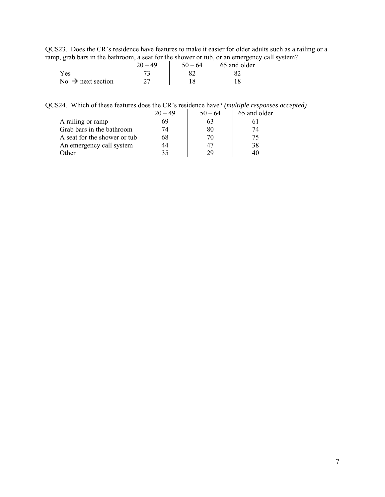QCS23. Does the CR's residence have features to make it easier for older adults such as a railing or a ramp, grab bars in the bathroom, a seat for the shower or tub, or an emergency call system?

|                               | ΔQ | $50 - 64$ | 65 and older |
|-------------------------------|----|-----------|--------------|
| Yes                           |    |           |              |
| No $\rightarrow$ next section |    |           |              |

QCS24. Which of these features does the CR's residence have? *(multiple responses accepted)* 

|                              | $-49$ | $50 - 64$ | 65 and older |
|------------------------------|-------|-----------|--------------|
| A railing or ramp            |       | n.        |              |
| Grab bars in the bathroom    | 74    | 80        |              |
| A seat for the shower or tub | 68    | 70        |              |
| An emergency call system     |       | 47        | 38           |
| Other                        | 35    | 29        | 40           |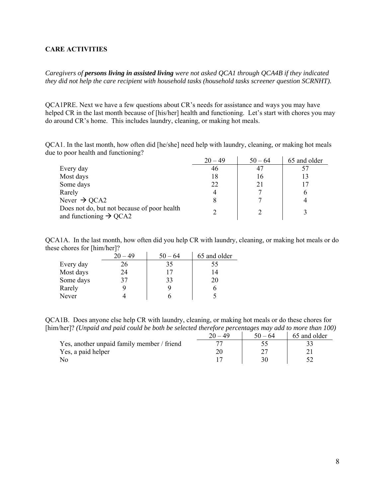## <span id="page-7-0"></span>**CARE ACTIVITIES**

*Caregivers of persons living in assisted living were not asked QCA1 through QCA4B if they indicated they did not help the care recipient with household tasks (household tasks screener question SCRNHT).* 

QCA1PRE. Next we have a few questions about CR's needs for assistance and ways you may have helped CR in the last month because of [his/her] health and functioning. Let's start with chores you may do around CR's home. This includes laundry, cleaning, or making hot meals.

QCA1. In the last month, how often did [he/she] need help with laundry, cleaning, or making hot meals due to poor health and functioning?

|                                                                                   | $20 - 49$ | $50 - 64$ | 65 and older |
|-----------------------------------------------------------------------------------|-----------|-----------|--------------|
| Every day                                                                         | 46        | 47        |              |
| Most days                                                                         | 18        | 16        |              |
| Some days                                                                         | 22        | 21        |              |
| Rarely                                                                            |           |           |              |
| Never $\rightarrow$ QCA2                                                          |           |           |              |
| Does not do, but not because of poor health<br>and functioning $\rightarrow$ QCA2 |           |           |              |

QCA1A. In the last month, how often did you help CR with laundry, cleaning, or making hot meals or do these chores for [him/her]?

|           | $20 - 49$ | $50 - 64$ | 65 and older |
|-----------|-----------|-----------|--------------|
| Every day | 26        | 35        | 55           |
| Most days | 24        | 17        | 14           |
| Some days | 37        | 33        | 20           |
| Rarely    |           | q         |              |
| Never     |           |           |              |

QCA1B. Does anyone else help CR with laundry, cleaning, or making hot meals or do these chores for [him/her]? *(Unpaid and paid could be both be selected therefore percentages may add to more than 100)* 

|                                            | 20.<br>- 49 | $50 - 64$ | 65 and older |
|--------------------------------------------|-------------|-----------|--------------|
| Yes, another unpaid family member / friend |             |           |              |
| Yes, a paid helper                         |             |           |              |
|                                            |             |           |              |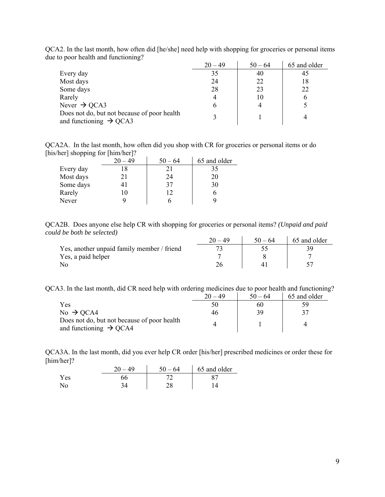|                                                                                   | $20 - 49$ | $50 - 64$ | 65 and older |
|-----------------------------------------------------------------------------------|-----------|-----------|--------------|
| Every day                                                                         | 35        | 40        | 40           |
| Most days                                                                         | 24        | 22        | 18           |
| Some days                                                                         | 28        | 23        | 22           |
| Rarely                                                                            |           | 10        | 6            |
| Never $\rightarrow$ QCA3                                                          |           |           |              |
| Does not do, but not because of poor health<br>and functioning $\rightarrow$ QCA3 |           |           |              |

QCA2. In the last month, how often did [he/she] need help with shopping for groceries or personal items due to poor health and functioning?

QCA2A. In the last month, how often did you shop with CR for groceries or personal items or do [his/her] shopping for [him/her]?

|           | $20 - 49$ | $50 - 64$ | 65 and older |
|-----------|-----------|-----------|--------------|
| Every day | 18        |           | 35           |
| Most days | 21        | 24        | 20           |
| Some days | 41        | 37        | 30           |
| Rarely    | 10        | 12        |              |
| Never     |           |           |              |

QCA2B. Does anyone else help CR with shopping for groceries or personal items? *(Unpaid and paid could be both be selected)* 

|                                            | $20 - 49$ | $50 - 64$ | 65 and older |
|--------------------------------------------|-----------|-----------|--------------|
| Yes, another unpaid family member / friend |           |           |              |
| Yes, a paid helper                         |           |           |              |
|                                            |           |           |              |

QCA3. In the last month, did CR need help with ordering medicines due to poor health and functioning?

|                                                                                   | $20 - 49$ | $50 - 64$ | 65 and older |
|-----------------------------------------------------------------------------------|-----------|-----------|--------------|
| Yes                                                                               | 50        | 60        | ٢q           |
| No $\rightarrow$ QCA4                                                             | 46        | 39        |              |
| Does not do, but not because of poor health<br>and functioning $\rightarrow$ QCA4 |           |           |              |

QCA3A. In the last month, did you ever help CR order [his/her] prescribed medicines or order these for [him/her]?

|     | 40 | -64      | 65 and older |
|-----|----|----------|--------------|
| Yes |    |          |              |
|     |    | າດ<br>∠∟ |              |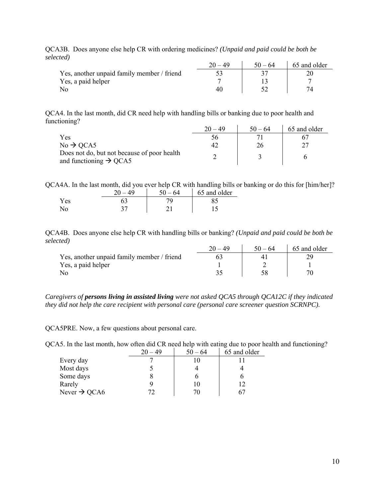| しゃしい /                                     | $20 - 49$ | $50 - 64$ | 65 and older |
|--------------------------------------------|-----------|-----------|--------------|
| Yes, another unpaid family member / friend |           |           |              |
| Yes, a paid helper                         |           |           |              |
|                                            |           |           |              |

QCA3B. Does anyone else help CR with ordering medicines? *(Unpaid and paid could be both be selected)*

QCA4. In the last month, did CR need help with handling bills or banking due to poor health and functioning?

|                                                                                   | 20 – 49 | $50 - 64$ | 65 and older |
|-----------------------------------------------------------------------------------|---------|-----------|--------------|
| Yes                                                                               | 56      |           |              |
| $No \rightarrow QCA5$                                                             |         | 26        |              |
| Does not do, but not because of poor health<br>and functioning $\rightarrow$ QCA5 |         |           |              |

QCA4A. In the last month, did you ever help CR with handling bills or banking or do this for [him/her]?  $20 - 49$  |  $50 - 64$  | 65 and older

|      | $\sim$<br>. . | ◡◡<br><b>A</b> | $0.0$ and $0.0$ |
|------|---------------|----------------|-----------------|
| Y es |               |                | o.              |
|      | ັ             |                |                 |

QCA4B. Does anyone else help CR with handling bills or banking? *(Unpaid and paid could be both be selected)*

|                                            | $20 - 49$ | $50 - 64$ | 65 and older |
|--------------------------------------------|-----------|-----------|--------------|
| Yes, another unpaid family member / friend |           |           |              |
| Yes, a paid helper                         |           |           |              |
|                                            |           |           |              |

*Caregivers of persons living in assisted living were not asked QCA5 through QCA12C if they indicated they did not help the care recipient with personal care (personal care screener question SCRNPC).* 

QCA5PRE. Now, a few questions about personal care.

QCA5. In the last month, how often did CR need help with eating due to poor health and functioning?

|                          | $20 - 49$ | $50 - 64$ | 65 and older |
|--------------------------|-----------|-----------|--------------|
| Every day                |           | 10        |              |
| Most days                |           |           |              |
| Some days                |           |           |              |
| Rarely                   |           | 10        |              |
| Never $\rightarrow$ QCA6 | 72        | 70        |              |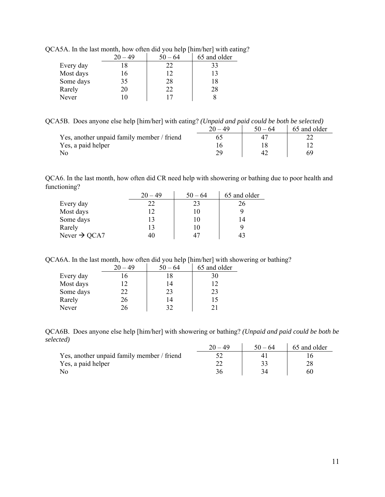|           | $20 - 49$ | $50 - 64$ | 65 and older |
|-----------|-----------|-----------|--------------|
| Every day | 18        | 22        | 33           |
| Most days | 16        | 12        | 13           |
| Some days | 35        | 28        | 18           |
| Rarely    | 20        | 22        | 28           |
| Never     | ۱0        |           |              |

QCA5A. In the last month, how often did you help [him/her] with eating?

QCA5B. Does anyone else help [him/her] with eating? *(Unpaid and paid could be both be selected)*

|                                            | 20. | $50 - 64$ | 65 and older |
|--------------------------------------------|-----|-----------|--------------|
| Yes, another unpaid family member / friend |     |           |              |
| Yes, a paid helper                         |     |           |              |
|                                            |     |           |              |

QCA6. In the last month, how often did CR need help with showering or bathing due to poor health and functioning?

|                          | $20 - 49$ | $50 - 64$ | 65 and older |
|--------------------------|-----------|-----------|--------------|
| Every day                | 22        | 23        | 26           |
| Most days                |           | 10        | Q            |
| Some days                | 13        | 10        | 14           |
| Rarely                   | 13        | 10        |              |
| Never $\rightarrow$ QCA7 | 40        | 47        | 43           |

QCA6A. In the last month, how often did you help [him/her] with showering or bathing?

|           | $20 - 49$ | $50 - 64$ | 65 and older |
|-----------|-----------|-----------|--------------|
| Every day |           | 18        | 30           |
| Most days | 12        | 14        | 12           |
| Some days | 22        | 23        | 23           |
| Rarely    | 26        | 14        | 15           |
| Never     | 26        | 32        | 21           |

QCA6B. Does anyone else help [him/her] with showering or bathing? *(Unpaid and paid could be both be selected)*

|                                            | $50 - 64$ | 65 and older |
|--------------------------------------------|-----------|--------------|
| Yes, another unpaid family member / friend |           |              |
| Yes, a paid helper                         |           |              |
| No                                         |           | 60           |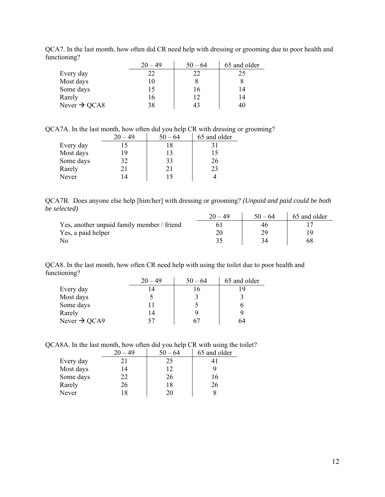|                          | $20 - 49$ | $50 - 64$ | 65 and older |
|--------------------------|-----------|-----------|--------------|
| Every day                | フフ        | つつ        | 25           |
| Most days                | 10        |           |              |
| Some days                | 15        | Iб        | 14           |
| Rarely                   | 16        |           | 14           |
| Never $\rightarrow$ QCA8 | 38        |           | 40           |

QCA7. In the last month, how often did CR need help with dressing or grooming due to poor health and functioning?

QCA7A. In the last month, how often did you help CR with dressing or grooming?

|           | $-49$ | $50 - 64$ | 65 and older |
|-----------|-------|-----------|--------------|
| Every day | 15    | 18        | 31           |
| Most days | 19    | 13        | 15           |
| Some days | 32    | 33        | 26           |
| Rarely    | 21    | 21        | 23           |
| Never     | 14    |           |              |

QCA7B. Does anyone else help [him/her] with dressing or grooming? *(Unpaid and paid could be both be selected)*  $\frac{1}{20}$   $\frac{20}{40}$   $\frac{1}{20}$   $\frac{25}{40}$  and older

|                                            | $50 - 64$ | 65 and older |
|--------------------------------------------|-----------|--------------|
| Yes, another unpaid family member / friend |           |              |
| Yes, a paid helper                         |           |              |
|                                            |           |              |

QCA8. In the last month, how often CR need help with using the toilet due to poor health and functioning?

|                          | $20 - 49$ | $50 - 64$ | 65 and older |
|--------------------------|-----------|-----------|--------------|
| Every day                |           | 16        |              |
| Most days                |           |           |              |
| Some days                |           |           |              |
| Rarely                   | 14        |           |              |
| Never $\rightarrow$ QCA9 | 57        | 67        | 64           |

QCA8A. In the last month, how often did you help CR with using the toilet?

|           | $20 - 49$ | $50 - 64$ | 65 and older |
|-----------|-----------|-----------|--------------|
| Every day | 21        | 25        |              |
| Most days | 14        | 12        |              |
| Some days | 22        | 26        | 16           |
| Rarely    | 26        | 18        | 26           |
| Never     | 18        | 20        |              |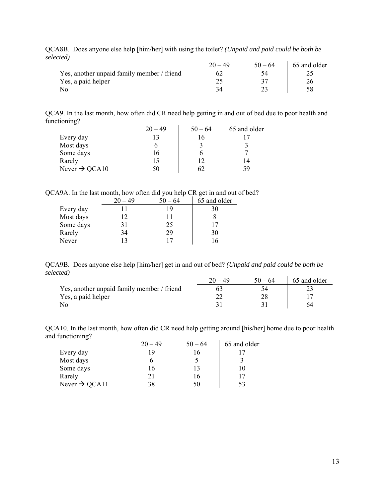| .                                          | $20 - 49$ | $50 - 64$ | 65 and older |
|--------------------------------------------|-----------|-----------|--------------|
| Yes, another unpaid family member / friend |           |           |              |
| Yes, a paid helper                         |           |           |              |
|                                            |           |           |              |

QCA8B. Does anyone else help [him/her] with using the toilet? *(Unpaid and paid could be both be selected)*

QCA9. In the last month, how often did CR need help getting in and out of bed due to poor health and functioning?

|                           | $20 - 49$ | $50 - 64$ | 65 and older |
|---------------------------|-----------|-----------|--------------|
| Every day                 |           | 16        |              |
| Most days                 |           |           |              |
| Some days                 | 16        |           |              |
| Rarely                    | 15        | 12        | 14           |
| Never $\rightarrow$ QCA10 | 50        | 62        | 59           |

QCA9A. In the last month, how often did you help CR get in and out of bed?

|           | $20 - 49$ | $50 - 64$ | 65 and older |
|-----------|-----------|-----------|--------------|
| Every day |           | 19        | 30           |
| Most days | 12        |           |              |
| Some days | 31        | 25        |              |
| Rarely    | 34        | 29        | 30           |
| Never     |           | 17        |              |

QCA9B. Does anyone else help [him/her] get in and out of bed? *(Unpaid and paid could be both be selected)*

|                                            | 20 – 49 | $50 - 64$ | 65 and older |
|--------------------------------------------|---------|-----------|--------------|
| Yes, another unpaid family member / friend |         |           |              |
| Yes, a paid helper                         |         |           |              |
|                                            |         |           |              |

QCA10. In the last month, how often did CR need help getting around [his/her] home due to poor health and functioning?

|                           | $20 - 49$ | $50 - 64$ | 65 and older |
|---------------------------|-----------|-----------|--------------|
| Every day                 | 19        | 16        |              |
| Most days                 |           |           |              |
| Some days                 | 16        | 13        | 10           |
| Rarely                    | 21        | 16        | 17           |
| Never $\rightarrow$ QCA11 | 38        | 50        | 53           |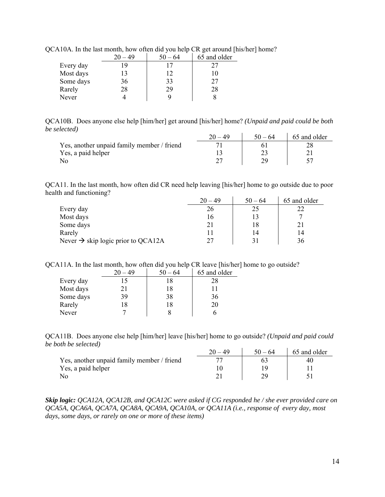|           |    | $50 - 64$ | 65 and older |
|-----------|----|-----------|--------------|
| Every day | 19 |           | 27           |
| Most days | 13 | 12        | 10           |
| Some days | 36 | 33        | 27           |
| Rarely    | 28 | 29        | 28           |
| Never     |    |           |              |

QCA10A. In the last month, how often did you help CR get around [his/her] home?

QCA10B. Does anyone else help [him/her] get around [his/her] home? *(Unpaid and paid could be both be selected)*

|                                            | 4. | $50 - 64$ | 65 and older |
|--------------------------------------------|----|-----------|--------------|
| Yes, another unpaid family member / friend |    |           |              |
| Yes, a paid helper                         |    |           |              |
|                                            |    |           |              |

QCA11. In the last month, how often did CR need help leaving [his/her] home to go outside due to poor health and functioning?

|                                                | $20 - 49$ | $50 - 64$ | 65 and older |
|------------------------------------------------|-----------|-----------|--------------|
| Every day                                      | 26        | 25        | 22           |
| Most days                                      | 16        |           |              |
| Some days                                      |           |           |              |
| Rarely                                         |           | 14        |              |
| Never $\rightarrow$ skip logic prior to QCA12A | 27        |           | 36           |

QCA11A. In the last month, how often did you help CR leave [his/her] home to go outside?

|           | $20 - 49$ | $50 - 64$ | 65 and older |
|-----------|-----------|-----------|--------------|
| Every day | 15        | 18        | 28           |
| Most days | 21        | 18        |              |
| Some days | 39        | 38        | 36           |
| Rarely    | 18        | 18        | 20           |
| Never     |           |           |              |

QCA11B. Does anyone else help [him/her] leave [his/her] home to go outside? *(Unpaid and paid could be both be selected)*

|                                            | $50 - 64$ | 65 and older |
|--------------------------------------------|-----------|--------------|
| Yes, another unpaid family member / friend |           |              |
| Yes, a paid helper                         |           |              |
| No                                         |           |              |

*Skip logic: QCA12A, QCA12B, and QCA12C were asked if CG responded he / she ever provided care on QCA5A, QCA6A, QCA7A, QCA8A, QCA9A, QCA10A, or QCA11A (i.e., response of every day, most days, some days, or rarely on one or more of these items)*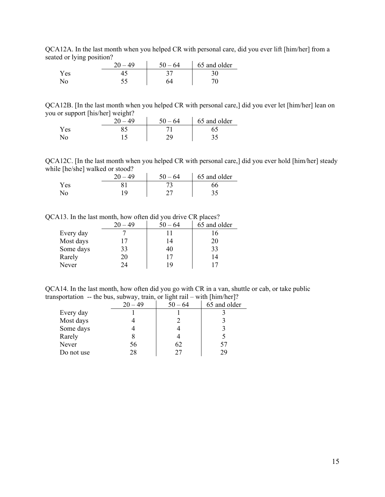QCA12A. In the last month when you helped CR with personal care, did you ever lift [him/her] from a seated or lying position?

|     | ንስ<br>49 | -64<br>50 | 65 and older |
|-----|----------|-----------|--------------|
| Yes |          | ◡         |              |
| N٢  |          |           |              |

QCA12B. [In the last month when you helped CR with personal care,] did you ever let [him/her] lean on you or support [his/her] weight?

|      | ገሰ | 64 | 65 and older |
|------|----|----|--------------|
| Y es |    |    |              |
|      |    |    | ب ب          |

QCA12C. [In the last month when you helped CR with personal care,] did you ever hold [him/her] steady while [he/she] walked or stood?

|                | 20<br>$-49$ | $50 - 64$ | 65 and older |
|----------------|-------------|-----------|--------------|
| Yes            |             |           | 56           |
| N <sub>0</sub> | 1 Q         |           |              |

QCA13. In the last month, how often did you drive CR places?

|           | $-49$ | $50 - 64$ | 65 and older |
|-----------|-------|-----------|--------------|
| Every day |       |           | 16           |
| Most days | 17    | 14        | 20           |
| Some days | 33    | 40        | 33           |
| Rarely    | 20    | 17        | 14           |
| Never     | 24    | 19        |              |

QCA14. In the last month, how often did you go with CR in a van, shuttle or cab, or take public transportation -- the bus, subway, train, or light rail – with [him/her]?

|            | $20 - 49$ | $50 - 64$ | 65 and older |
|------------|-----------|-----------|--------------|
| Every day  |           |           |              |
| Most days  |           |           |              |
| Some days  |           |           |              |
| Rarely     |           |           |              |
| Never      | 56        | 62        |              |
| Do not use | 28        |           | dΩ           |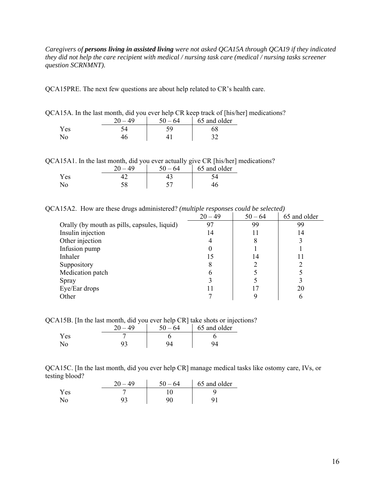*Caregivers of persons living in assisted living were not asked QCA15A through QCA19 if they indicated they did not help the care recipient with medical / nursing task care (medical / nursing tasks screener question SCRNMNT).* 

QCA15PRE. The next few questions are about help related to CR's health care.

| QCA15A. In the last month, did you ever help CR keep track of [his/her] medications? |           |           |                |  |  |
|--------------------------------------------------------------------------------------|-----------|-----------|----------------|--|--|
|                                                                                      | $20 - 49$ | $50 - 64$ | 1 65 and older |  |  |
| Yes                                                                                  |           |           |                |  |  |
| $N_{\Omega}$                                                                         | 46.       |           |                |  |  |

| OCA15A1. In the last month, did you ever actually give CR [his/her] medications? |  |  |  |  |  |  |
|----------------------------------------------------------------------------------|--|--|--|--|--|--|

|     | $20 - 49$ | $50 - 64$ | 65 and older |
|-----|-----------|-----------|--------------|
| Yes |           |           |              |
| No  |           |           |              |

QCA15A2. How are these drugs administered? *(multiple responses could be selected)* 

|                                              | $20 - 49$ | $50 - 64$ | 65 and older |
|----------------------------------------------|-----------|-----------|--------------|
| Orally (by mouth as pills, capsules, liquid) | 97        | 99        | 99           |
| Insulin injection                            | 14        | 11        | 14           |
| Other injection                              |           | 8         |              |
| Infusion pump                                |           |           |              |
| Inhaler                                      | 15        | 14        |              |
| Suppository                                  |           |           |              |
| Medication patch                             |           |           |              |
| Spray                                        |           |           |              |
| Eye/Ear drops                                |           | ۱7        | 20           |
| Other                                        |           | Q         | 6            |

QCA15B. [In the last month, did you ever help CR] take shots or injections?

|      | $\Lambda$ Q<br>ጎሰ | $-64$<br>50 | 65 and older |
|------|-------------------|-------------|--------------|
| Y es |                   |             |              |
|      |                   |             |              |

QCA15C. [In the last month, did you ever help CR] manage medical tasks like ostomy care, IVs, or testing blood?

|            | 20<br>-49 | 50<br>$-64$ | 65 and older |
|------------|-----------|-------------|--------------|
| <b>Yes</b> |           |             |              |
| No         |           | 90          |              |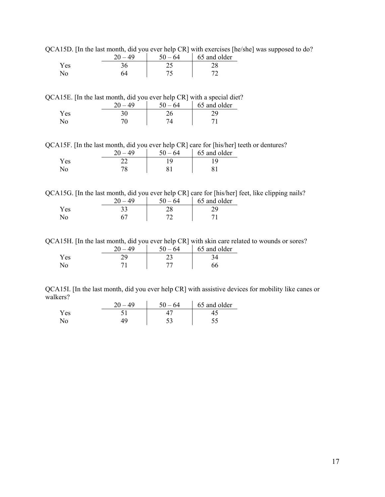QCA15D. [In the last month, did you ever help CR] with exercises [he/she] was supposed to do?

|      | $50 - 64$ | 65 and older |
|------|-----------|--------------|
| Y es |           |              |
|      |           |              |

QCA15E. [In the last month, did you ever help CR] with a special diet?

|      | 40 | - 50<br>-64 | 65 and older |
|------|----|-------------|--------------|
| Y es |    |             |              |
| N٥   |    |             |              |

QCA15F. [In the last month, did you ever help CR] care for [his/her] teeth or dentures?

|      | 40 | -64 | 65 and older |
|------|----|-----|--------------|
| Y es |    |     |              |
| ΝO   | 70 |     |              |

QCA15G. [In the last month, did you ever help CR] care for [his/her] feet, like clipping nails?

|            | 40 | ، ٢Λ<br>-64 | 65 and older |
|------------|----|-------------|--------------|
| <b>Yes</b> |    |             |              |
|            |    |             |              |

QCA15H. [In the last month, did you ever help CR] with skin care related to wounds or sores?

|      | 40<br>ጎሰ | 5٨<br>$-64$ | 65 and older |
|------|----------|-------------|--------------|
| Y es |          | ر ب         |              |
| NO.  |          |             |              |

QCA15I. [In the last month, did you ever help CR] with assistive devices for mobility like canes or walkers?

|     | 49<br>20 | 50<br>$-64$ | 65 and older |
|-----|----------|-------------|--------------|
| Yes |          |             |              |
|     |          | ر_ ر_       |              |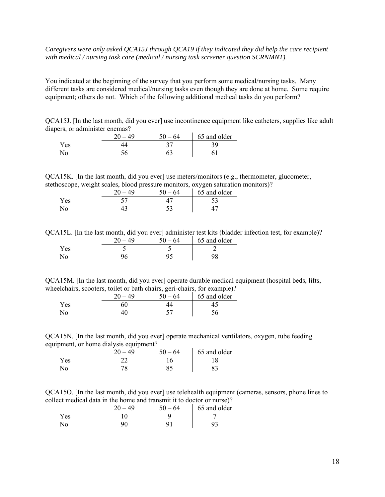## *Caregivers were only asked QCA15J through QCA19 if they indicated they did help the care recipient with medical / nursing task care (medical / nursing task screener question SCRNMNT).*

You indicated at the beginning of the survey that you perform some medical/nursing tasks. Many different tasks are considered medical/nursing tasks even though they are done at home. Some require equipment; others do not. Which of the following additional medical tasks do you perform?

QCA15J. [In the last month, did you ever] use incontinence equipment like catheters, supplies like adult diapers, or administer enemas?

|      | ጎሰ | 50<br>$-64$ | 65 and older |
|------|----|-------------|--------------|
| Y es |    | ັ           |              |
|      |    |             |              |

QCA15K. [In the last month, did you ever] use meters/monitors (e.g., thermometer, glucometer, stethoscope, weight scales, blood pressure monitors, oxygen saturation monitors)?

|      | 40 | -64<br>50 | 65 and older |
|------|----|-----------|--------------|
| Y es |    |           |              |
| N0.  |    | ເາ        |              |

QCA15L. [In the last month, did you ever] administer test kits (bladder infection test, for example)?

|      | 49 | - 64<br>$50 -$ | 65 and older |
|------|----|----------------|--------------|
| Y es |    |                |              |
|      |    |                |              |

QCA15M. [In the last month, did you ever] operate durable medical equipment (hospital beds, lifts, wheelchairs, scooters, toilet or bath chairs, geri-chairs, for example)?

|      | $\Delta\Omega$ | 5٨<br>- 64 | 65 and older |
|------|----------------|------------|--------------|
| r es |                |            |              |
| ٩O   |                |            |              |

QCA15N. [In the last month, did you ever] operate mechanical ventilators, oxygen, tube feeding equipment, or home dialysis equipment?

|      | ገሰ<br>40 | 64  | 65 and older |
|------|----------|-----|--------------|
| Y es |          |     |              |
|      |          | ر د |              |

QCA15O. [In the last month, did you ever] use telehealth equipment (cameras, sensors, phone lines to collect medical data in the home and transmit it to doctor or nurse)?

|     | $\Omega$<br>$\Delta$ Q | $50 - 64$ | 65 and older |
|-----|------------------------|-----------|--------------|
| Yes |                        |           |              |
| N٥  |                        |           |              |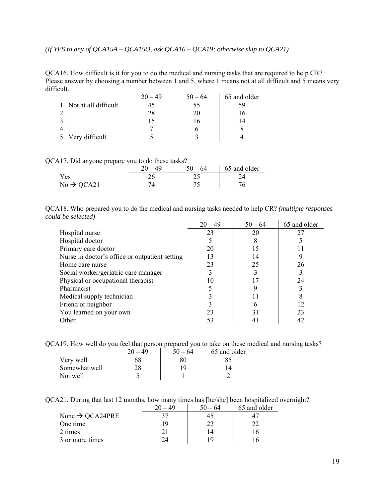*(If YES to any of QCA15A – QCA15O, ask QCA16 – QCA19; otherwise skip to QCA21)* 

QCA16. How difficult is it for you to do the medical and nursing tasks that are required to help CR? Please answer by choosing a number between 1 and 5, where 1 means not at all difficult and 5 means very difficult.

|                         | $20 - 49$ | $50 - 64$ | 65 and older |
|-------------------------|-----------|-----------|--------------|
| 1. Not at all difficult |           | ככ        | אי           |
|                         | 28        | 20        |              |
|                         |           |           |              |
|                         |           |           |              |
| 5. Very difficult       |           |           |              |

QCA17. Did anyone prepare you to do these tasks?

|                        |     | $50 - 64$ | 65 and older |
|------------------------|-----|-----------|--------------|
| Yes                    | ∍ י |           |              |
| $No \rightarrow QCA21$ |     |           |              |

QCA18. Who prepared you to do the medical and nursing tasks needed to help CR? *(multiple responses could be selected)* 

|                                                | $20 - 49$ | $50 - 64$ | 65 and older |
|------------------------------------------------|-----------|-----------|--------------|
| Hospital nurse                                 | 23        | 20        | 27           |
| Hospital doctor                                |           | 8         |              |
| Primary care doctor                            | 20        | 15        |              |
| Nurse in doctor's office or outpatient setting | 13        | 14        |              |
| Home care nurse                                | 23        | 25        | 26           |
| Social worker/geriatric care manager           |           |           |              |
| Physical or occupational therapist             |           |           | 24           |
| Pharmacist                                     |           | 9         |              |
| Medical supply technician                      |           |           | 8            |
| Friend or neighbor                             |           | 6         | 12           |
| You learned on your own                        | 23        | 31        | 23           |
| Other                                          | 53        |           | 42           |

QCA19. How well do you feel that person prepared you to take on these medical and nursing tasks?

|               | ንስ<br>- 49 | $-64$ | 65 and older |
|---------------|------------|-------|--------------|
| Very well     | 68         |       |              |
| Somewhat well | າວ         | 19    |              |
| Not well      |            |       |              |

QCA21. During that last 12 months, how many times has [he/she] been hospitalized overnight?

|                             | $20 - 49$ | $50 - 64$ | 65 and older |
|-----------------------------|-----------|-----------|--------------|
| None $\rightarrow$ QCA24PRE |           |           |              |
| One time                    | 1 Q       | つつ        |              |
| 2 times                     | ֿי ר      | 14        |              |
| 3 or more times             | 74        | 1 Q       |              |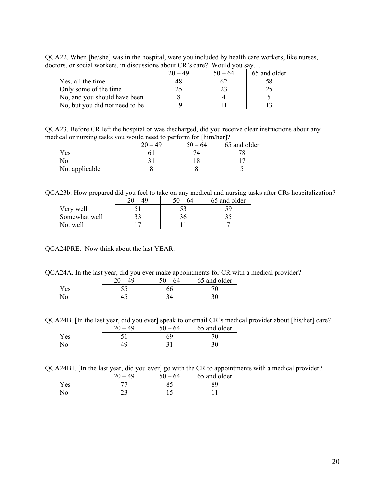QCA22. When [he/she] was in the hospital, were you included by health care workers, like nurses, doctors, or social workers, in discussions about CR's care? Would you say…

| 010, 01 DOWINI # OIRWID, IR WIDWWDDIORD WOOWV CIT D WHERE ## OWNER # OW # OW! |           |           |              |
|-------------------------------------------------------------------------------|-----------|-----------|--------------|
|                                                                               | $20 - 49$ | $50 - 64$ | 65 and older |
| Yes, all the time                                                             | 48        |           | 58           |
| Only some of the time                                                         |           |           |              |
| No, and you should have been                                                  |           |           |              |
| No, but you did not need to be                                                |           |           |              |

QCA23. Before CR left the hospital or was discharged, did you receive clear instructions about any medical or nursing tasks you would need to perform for [him/her]?

| -              | nη | ٢Λ<br>64 | -<br>65 and older |
|----------------|----|----------|-------------------|
| Yes            |    |          |                   |
| No             |    |          |                   |
| Not applicable |    |          |                   |

QCA23b. How prepared did you feel to take on any medical and nursing tasks after CRs hospitalization?

|               | 40<br>ንስ | 64 | 65 and older |
|---------------|----------|----|--------------|
| Very well     |          |    |              |
| Somewhat well | 33       | 36 |              |
| Not well      |          |    |              |

QCA24PRE. Now think about the last YEAR.

QCA24A. In the last year, did you ever make appointments for CR with a medical provider?

|     | ጎሰ<br>40 | -64 | 65 and older |
|-----|----------|-----|--------------|
| Yes |          | )U  |              |
| No  |          |     |              |

QCA24B. [In the last year, did you ever] speak to or email CR's medical provider about [his/her] care?

|      | 40 | $-64$ | 65 and older |
|------|----|-------|--------------|
| Y es |    | sq    |              |
| No.  |    |       |              |

QCA24B1. [In the last year, did you ever] go with the CR to appointments with a medical provider?

|      | - 64<br>5۸ | 65 and older |
|------|------------|--------------|
| r es |            |              |
|      |            |              |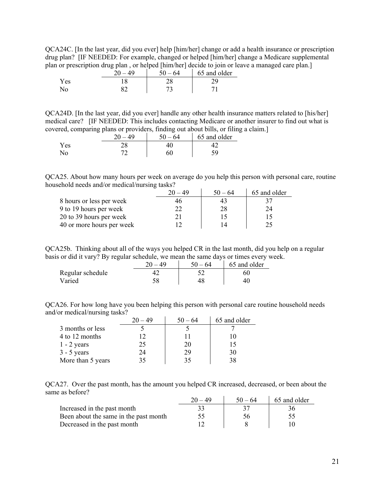QCA24C. [In the last year, did you ever] help [him/her] change or add a health insurance or prescription drug plan? [IF NEEDED: For example, changed or helped [him/her] change a Medicare supplemental plan or prescription drug plan , or helped [him/her] decide to join or leave a managed care plan.]

|      | - -<br>ററ | <br><br>64 | 65 and older |
|------|-----------|------------|--------------|
| Y es |           |            |              |
|      |           |            |              |

QCA24D. [In the last year, did you ever] handle any other health insurance matters related to [his/her] medical care? [IF NEEDED: This includes contacting Medicare or another insurer to find out what is covered, comparing plans or providers, finding out about bills, or filing a claim.]

|            | 20<br>$\Delta$ Q | $50 - 64$ | 65 and older |
|------------|------------------|-----------|--------------|
| <b>Yes</b> |                  |           |              |
|            |                  |           |              |

QCA25. About how many hours per week on average do you help this person with personal care, routine household needs and/or medical/nursing tasks?

|                           | $20 - 49$ | $50 - 64$ | 65 and older |
|---------------------------|-----------|-----------|--------------|
| 8 hours or less per week  |           |           |              |
| 9 to 19 hours per week    |           | 28        | 24           |
| 20 to 39 hours per week   |           | 15        |              |
| 40 or more hours per week |           |           |              |

QCA25b. Thinking about all of the ways you helped CR in the last month, did you help on a regular basis or did it vary? By regular schedule, we mean the same days or times every week.

|                  | 40 | $50 - 64$ | 65 and older |
|------------------|----|-----------|--------------|
| Regular schedule |    |           |              |
| Varied           |    |           |              |

QCA26. For how long have you been helping this person with personal care routine household needs and/or medical/nursing tasks?

|                   | $20 - 49$ | $50 - 64$ | 65 and older |
|-------------------|-----------|-----------|--------------|
| 3 months or less  |           |           |              |
| 4 to 12 months    |           |           |              |
| $1 - 2$ years     | 25        | 20        | 15           |
| $3 - 5$ years     | 24        | 29        | 30           |
| More than 5 years | 35        | 35        | 38           |

QCA27. Over the past month, has the amount you helped CR increased, decreased, or been about the same as before?  $\mathbf{r}$ 

|                                       | $50 - 64$ | 65 and older |
|---------------------------------------|-----------|--------------|
| Increased in the past month           |           |              |
| Been about the same in the past month | 56        |              |
| Decreased in the past month           |           |              |

 $\overline{\phantom{0}}$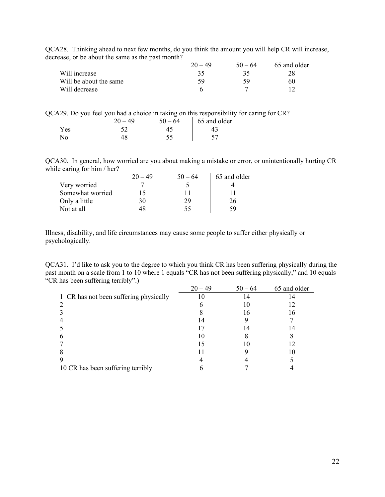| QCA28. Thinking ahead to next few months, do you think the amount you will help CR will increase, |  |  |  |
|---------------------------------------------------------------------------------------------------|--|--|--|
| decrease, or be about the same as the past month?                                                 |  |  |  |

|                        | $20 - 49$ | $50 - 64$ | 65 and older |
|------------------------|-----------|-----------|--------------|
| Will increase          |           |           |              |
| Will be about the same |           | 59        | 60           |
| Will decrease          |           |           |              |

QCA29. Do you feel you had a choice in taking on this responsibility for caring for CR?

|             | 40<br>ንስ | -64 | 65 and older |
|-------------|----------|-----|--------------|
| Yes         |          |     |              |
| $\rm N_{O}$ |          |     |              |

QCA30. In general, how worried are you about making a mistake or error, or unintentionally hurting CR while caring for him / her?

|                  | 20 | $50 - 64$ | 65 and older |
|------------------|----|-----------|--------------|
| Very worried     |    |           |              |
| Somewhat worried |    |           |              |
| Only a little    | 30 | 29        | 26           |
| Not at all       |    | 55        | 59           |

Illness, disability, and life circumstances may cause some people to suffer either physically or psychologically.

QCA31. I'd like to ask you to the degree to which you think CR has been suffering physically during the past month on a scale from 1 to 10 where 1 equals "CR has not been suffering physically," and 10 equals "CR has been suffering terribly".)

|                                        | $20 - 49$ | $50 - 64$ | 65 and older |
|----------------------------------------|-----------|-----------|--------------|
| 1 CR has not been suffering physically |           | 14        |              |
| 2                                      |           | 10        | 12           |
|                                        |           | 16        | 16           |
|                                        | 14        |           |              |
|                                        |           | 14        | 14           |
| 6                                      | 10        |           |              |
|                                        |           | 10        |              |
|                                        |           |           |              |
|                                        |           |           |              |
| 10 CR has been suffering terribly      |           |           |              |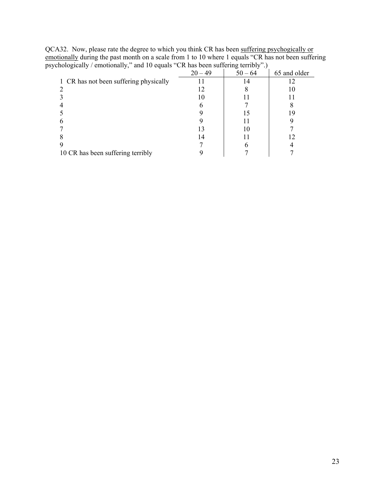| $\mathcal{L}_{\mathbf{A}}$<br>         |           |           |              |  |
|----------------------------------------|-----------|-----------|--------------|--|
|                                        | $20 - 49$ | $50 - 64$ | 65 and older |  |
| 1 CR has not been suffering physically |           | 14        |              |  |
|                                        |           |           |              |  |
|                                        | 10        |           |              |  |
|                                        |           |           |              |  |
|                                        |           |           | 19           |  |
|                                        |           |           |              |  |
|                                        |           |           |              |  |
|                                        | 14        |           |              |  |
|                                        |           |           |              |  |
| 10 CR has been suffering terribly      |           |           |              |  |
|                                        |           |           |              |  |

QCA32. Now, please rate the degree to which you think CR has been suffering psychogically or emotionally during the past month on a scale from 1 to 10 where 1 equals "CR has not been suffering psychologically / emotionally," and 10 equals "CR has been suffering terribly".)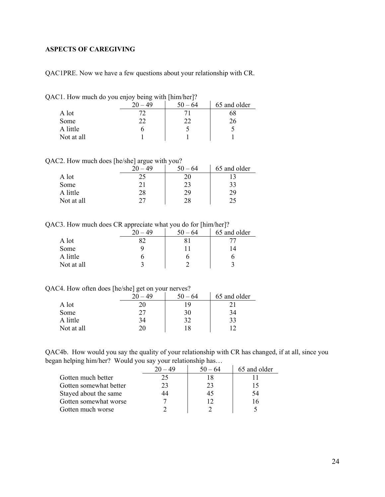# <span id="page-23-0"></span>**ASPECTS OF CAREGIVING**

QAC1PRE. Now we have a few questions about your relationship with CR.

|  |  |  |  | QAC1. How much do you enjoy being with [him/her]? |  |
|--|--|--|--|---------------------------------------------------|--|
|  |  |  |  |                                                   |  |

|            | 49 | $50 - 64$ | 65 and older |
|------------|----|-----------|--------------|
| A lot      |    |           | 68           |
| Some       | າາ |           | 26           |
| A little   |    |           |              |
| Not at all |    |           |              |

QAC2. How much does [he/she] argue with you?

|            | ንስ  | 50<br>$-64$ | 65 and older |
|------------|-----|-------------|--------------|
| A lot      | າ ເ |             |              |
| Some       |     |             | 33           |
| A little   | 28  | 29          | 29           |
| Not at all | רר  | 28          | 25           |

QAC3. How much does CR appreciate what you do for [him/her]?

|            | 49<br>റ∩ | - 64 | 65 and older |
|------------|----------|------|--------------|
| A lot      | o٠       |      |              |
| Some       |          |      | 14           |
| A little   |          |      |              |
| Not at all |          |      |              |

QAC4. How often does [he/she] get on your nerves?

|            | ንስ<br>49 | $50 - 64$ | 65 and older |
|------------|----------|-----------|--------------|
| A lot      |          | 19        |              |
| Some       |          | 30        | 34           |
| A little   | 34       | 32        | 33           |
| Not at all | 20       | 18        | ר ו          |

QAC4b. How would you say the quality of your relationship with CR has changed, if at all, since you began helping him/her? Would you say your relationship has…

|                        | 20 – 49 | $50 - 64$ | 65 and older |
|------------------------|---------|-----------|--------------|
| Gotten much better     | 25      |           |              |
| Gotten somewhat better | 23      | 23        |              |
| Stayed about the same  | 44      | 45        | -54          |
| Gotten somewhat worse  |         |           |              |
| Gotten much worse      |         |           |              |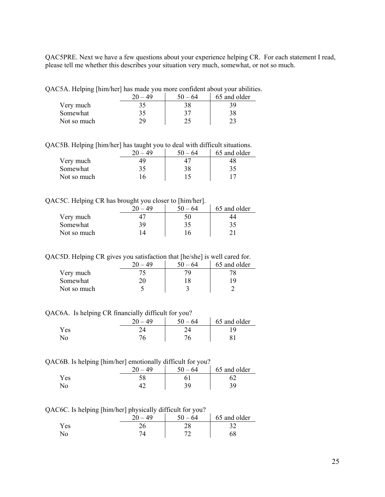QAC5PRE. Next we have a few questions about your experience helping CR. For each statement I read, please tell me whether this describes your situation very much, somewhat, or not so much.

QAC5A. Helping [him/her] has made you more confident about your abilities.

|             | 49 | -50<br>-64 | 65 and older |
|-------------|----|------------|--------------|
| Very much   | 35 |            |              |
| Somewhat    | 35 | 27         | 38           |
| Not so much | 70 |            |              |

QAC5B. Helping [him/her] has taught you to deal with difficult situations.

|             |    | - 64 | 65 and older |
|-------------|----|------|--------------|
| Very much   |    |      | 48           |
| Somewhat    | 35 | 38   | 35           |
| Not so much | 16 |      |              |

QAC5C. Helping CR has brought you closer to [him/her].

|             |    | -<br>64 | 65 and older |
|-------------|----|---------|--------------|
| Very much   |    | 50      |              |
| Somewhat    | 39 | 35      | 35           |
| Not so much |    |         |              |

QAC5D. Helping CR gives you satisfaction that [he/she] is well cared for.

|             |    | -64 | 65 and older |
|-------------|----|-----|--------------|
| Very much   |    |     |              |
| Somewhat    | 10 |     | ۰Q           |
| Not so much |    |     |              |

QAC6A. Is helping CR financially difficult for you?

|      | 49 | $50 - 64$ | 65 and older |
|------|----|-----------|--------------|
| Y es |    |           |              |
| No   |    |           |              |

#### QAC6B. Is helping [him/her] emotionally difficult for you?

| . . | ገበ | $-64$<br>50 | 65 and older |
|-----|----|-------------|--------------|
| Yes |    |             |              |
| No  |    | ንሰ          |              |

QAC6C. Is helping [him/her] physically difficult for you?

|      | ັບ ∟ | . .<br>nΩ | $\epsilon$ $\alpha$<br>64<br>וור<br>$\overline{\phantom{0}}$ | 65 and older |
|------|------|-----------|--------------------------------------------------------------|--------------|
| Y es |      |           |                                                              |              |
|      |      |           | <u>_</u>                                                     |              |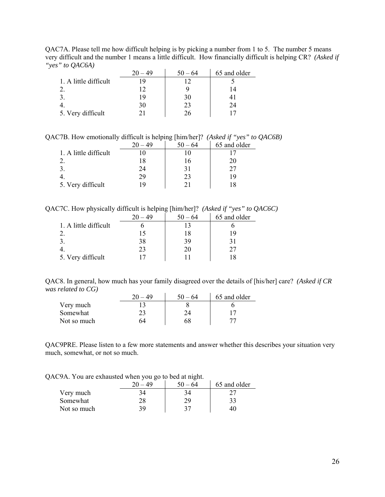QAC7A. Please tell me how difficult helping is by picking a number from 1 to 5. The number 5 means very difficult and the number 1 means a little difficult. How financially difficult is helping CR? *(Asked if "yes" to QAC6A)*

|                       | $20 - 49$ | $50 - 64$ | 65 and older |
|-----------------------|-----------|-----------|--------------|
| 1. A little difficult |           |           |              |
|                       |           |           |              |
|                       | 19        | 30        |              |
|                       | 30        | 23        | 24           |
| 5. Very difficult     |           | 26        |              |

QAC7B. How emotionally difficult is helping [him/her]? *(Asked if "yes" to QAC6B)* 

|                       |     | $50 - 64$ | 65 and older |
|-----------------------|-----|-----------|--------------|
| 1. A little difficult |     |           |              |
|                       |     | ١h        | 20           |
|                       | 24  | 31        |              |
|                       | 29  | 23        | 19           |
| 5. Very difficult     | 1 Y |           |              |

QAC7C. How physically difficult is helping [him/her]? *(Asked if "yes" to QAC6C)*

|                       | $20 - 49$ | $50 - 64$ | 65 and older |
|-----------------------|-----------|-----------|--------------|
| 1. A little difficult |           |           |              |
|                       | 15        | 18        |              |
|                       | 38        | 39        |              |
|                       | 23        | 20        |              |
| 5. Very difficult     |           |           |              |

QAC8. In general, how much has your family disagreed over the details of [his/her] care? *(Asked if CR was related to CG)*   $\mathcal{L}_{\rm{max}}$ 

|             | 49 | - 64 | 65 and older |
|-------------|----|------|--------------|
| Very much   |    |      |              |
| Somewhat    |    |      |              |
| Not so much |    |      |              |

QAC9PRE. Please listen to a few more statements and answer whether this describes your situation very much, somewhat, or not so much.

QAC9A. You are exhausted when you go to bed at night.

|             | ຼ<br>ററ | -64 | 65 and older |
|-------------|---------|-----|--------------|
| Very much   |         |     |              |
| Somewhat    |         | ാവ  |              |
| Not so much | 20.     |     |              |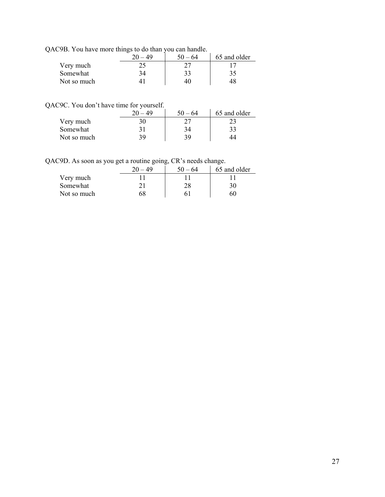QAC9B. You have more things to do than you can handle.

|             | 49 | -64 | 65 and older |
|-------------|----|-----|--------------|
| Very much   |    |     |              |
| Somewhat    |    | 33  | 35           |
| Not so much |    |     |              |

QAC9C. You don't have time for yourself.

|             | 49  | $50 - 64$ | 65 and older |
|-------------|-----|-----------|--------------|
| Very much   | 30  |           |              |
| Somewhat    | ו ל | 34        | 33           |
| Not so much | 39  | 30        |              |

QAC9D. As soon as you get a routine going, CR's needs change.

|             | nΩ  | $50 - 64$ | 65 and older |
|-------------|-----|-----------|--------------|
| Very much   |     |           |              |
| Somewhat    | ו ר |           | 30           |
| Not so much | 68  |           | hU           |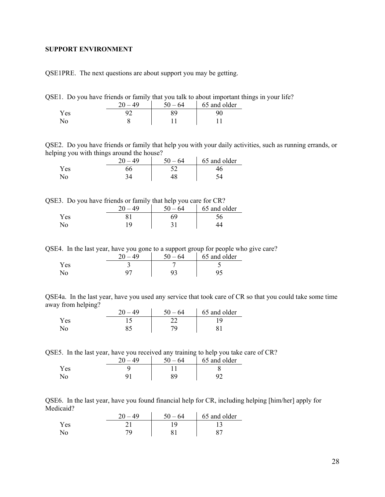### <span id="page-27-0"></span>**SUPPORT ENVIRONMENT**

QSE1PRE. The next questions are about support you may be getting.

QSE1. Do you have friends or family that you talk to about important things in your life?

|      | 40 | $50 - 64$ | 65 and older |
|------|----|-----------|--------------|
| Y es |    |           |              |
|      |    |           |              |

QSE2. Do you have friends or family that help you with your daily activities, such as running errands, or helping you with things around the house?

|     | 40 | $50 - 64$ | 65 and older |
|-----|----|-----------|--------------|
| Yes |    |           |              |
| No  |    |           |              |

QSE3. Do you have friends or family that help you care for CR?

|      | 20<br>ΔQ | <br>$-64$<br>50 | 65 and older |
|------|----------|-----------------|--------------|
| Y es |          | 69              |              |
|      |          |                 |              |

QSE4. In the last year, have you gone to a support group for people who give care?

|      | 40 | 50.<br>$-64$ | 65 and older |
|------|----|--------------|--------------|
| Y es |    |              |              |
|      |    |              |              |

QSE4a. In the last year, have you used any service that took care of CR so that you could take some time away from helping?  $\mathbf{r}$ 

|      | 40 | – 64<br>$50 -$ | 65 and older |
|------|----|----------------|--------------|
| Y es |    |                |              |
|      |    |                |              |

QSE5. In the last year, have you received any training to help you take care of CR?

|     | ንስ<br>40 | - 64 | 65 and older |
|-----|----------|------|--------------|
| Yes |          |      |              |
|     |          | QΟ   |              |

QSE6. In the last year, have you found financial help for CR, including helping [him/her] apply for Medicaid?

|      | $\Delta\Omega$ | 50<br>64<br>$\sim$ | 65 and older |
|------|----------------|--------------------|--------------|
| Y es |                |                    |              |
| No   |                |                    |              |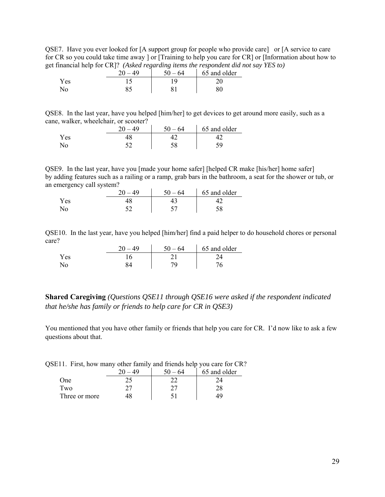QSE7. Have you ever looked for [A support group for people who provide care] or [A service to care for CR so you could take time away ] or [Training to help you care for CR] or [Information about how to get financial help for CR]? *(Asked regarding items the respondent did not say YES to)* 

|                | nη<br>40 | 64 | 65 and older |
|----------------|----------|----|--------------|
| Yes            |          |    |              |
| N <sub>0</sub> |          |    |              |

QSE8. In the last year, have you helped [him/her] to get devices to get around more easily, such as a cane, walker, wheelchair, or scooter?

|      | 64<br>50. | 65 and older |
|------|-----------|--------------|
| Y es |           |              |
| No   |           |              |

QSE9. In the last year, have you [made your home safer] [helped CR make [his/her] home safer] by adding features such as a railing or a ramp, grab bars in the bathroom, a seat for the shower or tub, or an emergency call system?

|      | 40 | -64<br>$50 -$ | 65 and older |
|------|----|---------------|--------------|
| Y es |    |               |              |
|      |    | ັ             | სბ           |

QSE10. In the last year, have you helped [him/her] find a paid helper to do household chores or personal care?

|      | 40 | $50 - 64$ | 65 and older |
|------|----|-----------|--------------|
| r es |    |           |              |
| N٥   |    |           |              |

**Shared Caregiving** *(Questions QSE11 through QSE16 were asked if the respondent indicated that he/she has family or friends to help care for CR in QSE3)*

You mentioned that you have other family or friends that help you care for CR. I'd now like to ask a few questions about that.

|  |  | QSE11. First, how many other family and friends help you care for CR? |
|--|--|-----------------------------------------------------------------------|
|  |  |                                                                       |

|               | ንስ | 64 | 65 and older |
|---------------|----|----|--------------|
| One           | າເ |    |              |
| Two           | הר |    |              |
| Three or more |    |    |              |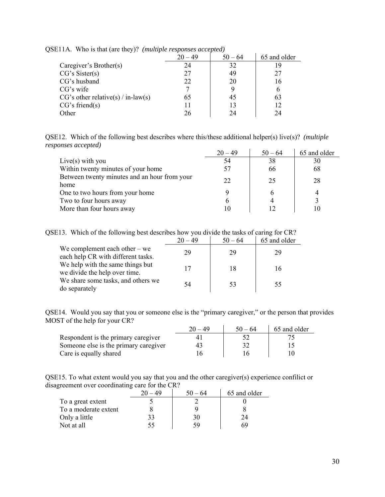| <u>.</u>                             | $20 - 49$ | $50 - 64$ | 65 and older |
|--------------------------------------|-----------|-----------|--------------|
| Caregiver's Brother(s)               | 24        | 32        | 19           |
| CG's Sister(s)                       | 27        | 49        | 27           |
| CG's husband                         | 22        | 20        | 16           |
| CG's wife                            |           |           | 6            |
| $CG's other relative(s) / in-law(s)$ | 65        | 45        | 63           |
| CG's friend(s)                       |           | 13        | 12           |
| Other                                | 26        | 24        | 24           |

QSE11A. Who is that (are they)? *(multiple responses accepted)*

QSE12. Which of the following best describes where this/these additional helper(s) live(s)? *(multiple responses accepted)*

|                                                      | $20 - 49$ | $50 - 64$ | 65 and older |
|------------------------------------------------------|-----------|-----------|--------------|
| Live(s) with you                                     | 54        | 38        | 30           |
| Within twenty minutes of your home                   |           | 66        | 68           |
| Between twenty minutes and an hour from your<br>home | 22        | 25        | 28           |
| One to two hours from your home                      |           | h         | 4            |
| Two to four hours away                               | b         | 4         |              |
| More than four hours away                            |           |           | 10           |

QSE13. Which of the following best describes how you divide the tasks of caring for CR?

|                                                                       | $20 - 49$ | $50 - 64$ | 65 and older |
|-----------------------------------------------------------------------|-----------|-----------|--------------|
| We complement each other $-$ we<br>each help CR with different tasks. | 29        | 29        | 29           |
| We help with the same things but<br>we divide the help over time.     |           | 18        | 16           |
| We share some tasks, and others we<br>do separately                   | 54        | 53        | 55           |

QSE14. Would you say that you or someone else is the "primary caregiver," or the person that provides MOST of the help for your CR?

|                                       | 20 – 49 | $50 - 64$ | 65 and older |
|---------------------------------------|---------|-----------|--------------|
| Respondent is the primary caregiver   |         |           |              |
| Someone else is the primary caregiver |         |           |              |
| Care is equally shared                |         |           |              |

QSE15. To what extent would you say that you and the other caregiver(s) experience confilict or disagreement over coordinating care for the CR?

| ັ                    | $20 - 49$ | $50 - 64$ | 65 and older |
|----------------------|-----------|-----------|--------------|
| To a great extent    |           |           |              |
| To a moderate extent |           |           |              |
| Only a little        |           | 30        | 24           |
| Not at all           |           |           | 69           |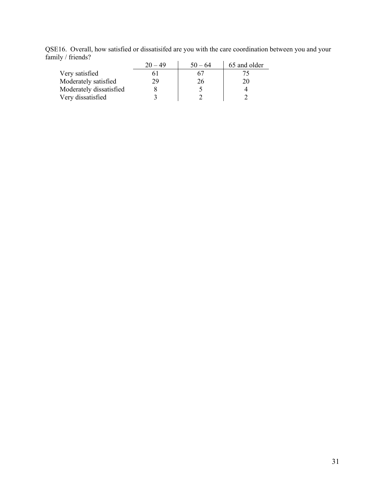QSE16. Overall, how satisfied or dissatisifed are you with the care coordination between you and your family / friends?

|                         | $20 - 49$ | $50 - 64$ | 65 and older |
|-------------------------|-----------|-----------|--------------|
| Very satisfied          |           |           |              |
| Moderately satisfied    | 29        | 26        | 20           |
| Moderately dissatisfied |           |           |              |
| Very dissatisfied       |           |           |              |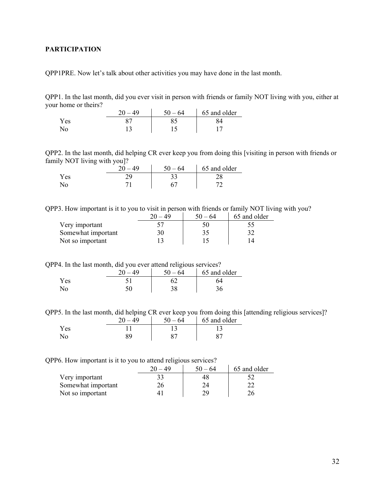## <span id="page-31-0"></span>**PARTICIPATION**

QPP1PRE. Now let's talk about other activities you may have done in the last month.

QPP1. In the last month, did you ever visit in person with friends or family NOT living with you, either at your home or theirs?

|     | $50 - 64$ | 65 and older |
|-----|-----------|--------------|
| Yes |           |              |
| No  |           |              |

QPP2. In the last month, did helping CR ever keep you from doing this [visiting in person with friends or family NOT living with you]?

|      | ንስ | 50<br>-64 | 65 and older |
|------|----|-----------|--------------|
| Y es | ገበ |           |              |
| No   |    |           | -            |

QPP3. How important is it to you to visit in person with friends or family NOT living with you?

|                    |  | 65 and older |
|--------------------|--|--------------|
| Very important     |  |              |
| Somewhat important |  |              |
| Not so important   |  |              |

QPP4. In the last month, did you ever attend religious services?

|      | 20<br>$\Delta\Omega$ | $50 - 64$ | 65 and older |
|------|----------------------|-----------|--------------|
| Y es |                      |           |              |
| No   |                      |           | ັ            |

QPP5. In the last month, did helping CR ever keep you from doing this [attending religious services]?

|      | ንስ<br>$\Delta$ Q | $50 - 64$ | 65 and older |
|------|------------------|-----------|--------------|
| Y es |                  |           |              |
|      | 20               |           |              |

QPP6. How important is it to you to attend religious services?

|                    | 49 | $50 - 64$ | 65 and older |
|--------------------|----|-----------|--------------|
| Very important     |    |           |              |
| Somewhat important |    |           |              |
| Not so important   |    |           |              |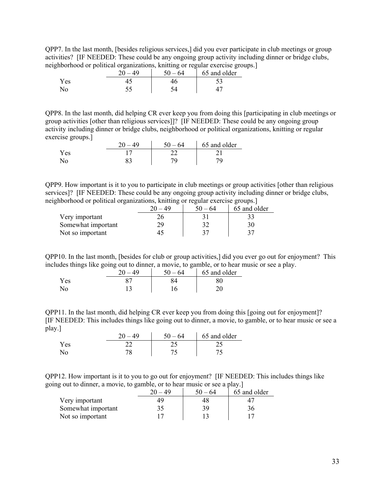QPP7. In the last month, [besides religious services,] did you ever participate in club meetings or group activities? [IF NEEDED: These could be any ongoing group activity including dinner or bridge clubs, neighborhood or political organizations, knitting or regular exercise groups.]

|     | ີ<br>ጎሰ | 50<br>64 | ີ<br>65 and older |
|-----|---------|----------|-------------------|
| Yes |         |          | ر_ ب              |
| No  |         |          |                   |

QPP8. In the last month, did helping CR ever keep you from doing this [participating in club meetings or group activities [other than religious services]]? [IF NEEDED: These could be any ongoing group activity including dinner or bridge clubs, neighborhood or political organizations, knitting or regular exercise groups.]

|      | $\Delta\Omega$ | $50 - 64$ | 65 and older |
|------|----------------|-----------|--------------|
| Y es |                |           |              |
|      |                |           |              |

QPP9. How important is it to you to participate in club meetings or group activities [other than religious services]? [IF NEEDED: These could be any ongoing group activity including dinner or bridge clubs, neighborhood or political organizations, knitting or regular exercise groups.]

|                    | $50 - 64$ | 65 and older |
|--------------------|-----------|--------------|
| Very important     |           |              |
| Somewhat important |           |              |
| Not so important   |           |              |

QPP10. In the last month, [besides for club or group activities,] did you ever go out for enjoyment? This includes things like going out to dinner, a movie, to gamble, or to hear music or see a play.

|      | 20<br>40 | 50<br>-64 | 65 and older |
|------|----------|-----------|--------------|
| Y es |          |           |              |
| N٥   |          | 6         |              |

QPP11. In the last month, did helping CR ever keep you from doing this [going out for enjoyment]? [IF NEEDED: This includes things like going out to dinner, a movie, to gamble, or to hear music or see a play.]

|      | 40 | 64<br>$50 -$ | 65 and older |
|------|----|--------------|--------------|
| Y es |    | ت سے         |              |
| NΟ   | 70 |              |              |

QPP12. How important is it to you to go out for enjoyment? [IF NEEDED: This includes things like going out to dinner, a movie, to gamble, or to hear music or see a play.]

|                    | 64 | 65 and older |
|--------------------|----|--------------|
| Very important     | 48 | ∸            |
| Somewhat important |    | 36           |
| Not so important   |    |              |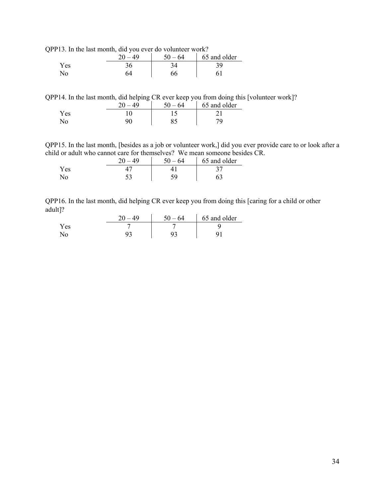QPP13. In the last month, did you ever do volunteer work?

|                | <br>40 | 50<br>- 64 | 65 and older |
|----------------|--------|------------|--------------|
| Yes            |        |            | 39.          |
| $\overline{N}$ | ገሩ     | 66         |              |

QPP14. In the last month, did helping CR ever keep you from doing this [volunteer work]?

|      | 40 | $50 -$<br>- 64 | 65 and older |
|------|----|----------------|--------------|
| Y es |    |                |              |
|      |    | ◡~             |              |

QPP15. In the last month, [besides as a job or volunteer work,] did you ever provide care to or look after a child or adult who cannot care for themselves? We mean someone besides CR.

|            | 40 | 50<br>64 | 65 and older |
|------------|----|----------|--------------|
| <b>Yes</b> |    |          |              |
|            | ັ້ | 50       |              |

QPP16. In the last month, did helping CR ever keep you from doing this [caring for a child or other adult]?

|     | $\Delta\Omega$ | $50 - 64$ | 65 and older |
|-----|----------------|-----------|--------------|
| Yes |                |           |              |
| No  |                |           |              |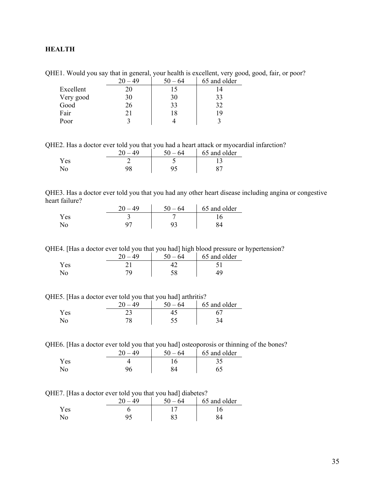## <span id="page-34-0"></span>**HEALTH**

QHE1. Would you say that in general, your health is excellent, very good, good, fair, or poor?

|           | 20 | $50 - 64$ | 65 and older |
|-----------|----|-----------|--------------|
| Excellent | 20 | 15        | 14           |
| Very good | 30 | 30        | 33           |
| Good      | 26 | 33        | 32           |
| Fair      | 21 | 18        | 19           |
| Poor      |    |           |              |

QHE2. Has a doctor ever told you that you had a heart attack or myocardial infarction?

|      | 50<br>$-64$ | 65 and older |
|------|-------------|--------------|
| Y es |             |              |
|      |             |              |

QHE3. Has a doctor ever told you that you had any other heart disease including angina or congestive heart failure?

|      |   | - 64<br>50 | 65 and older |
|------|---|------------|--------------|
| Y es | - |            |              |
|      |   |            |              |

QHE4. [Has a doctor ever told you that you had] high blood pressure or hypertension?

|     | 40 | $-64$<br>$50 -$ | 65 and older |
|-----|----|-----------------|--------------|
| Yes |    |                 |              |
| No  |    | 50              |              |

QHE5. [Has a doctor ever told you that you had] arthritis?

|     | ΔQ | -64<br>50 | 65 and older |
|-----|----|-----------|--------------|
| Yes |    |           |              |
|     |    |           |              |

QHE6. [Has a doctor ever told you that you had] osteoporosis or thinning of the bones?

|     | .40 | $50 - 64$ | 65 and older |
|-----|-----|-----------|--------------|
| Yes |     |           |              |
| No  |     |           |              |

QHE7. [Has a doctor ever told you that you had] diabetes?

|      | $\Delta\Omega$<br>ንሰ | $-64$<br>50 | 65 and older |
|------|----------------------|-------------|--------------|
| Y es |                      |             |              |
|      |                      | െ           |              |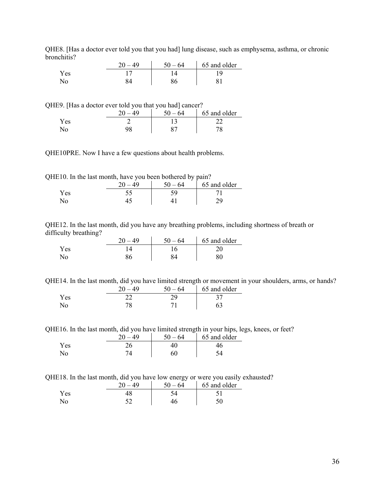| лісніцізт |    |           |              |  |
|-----------|----|-----------|--------------|--|
|           | 40 | $50 - 64$ | 65 and older |  |
| Yes       |    |           |              |  |
| No        |    |           |              |  |

QHE8. [Has a doctor ever told you that you had] lung disease, such as emphysema, asthma, or chronic bronchitis?

QHE9. [Has a doctor ever told you that you had] cancer?

|     | $\Delta$ Q | $50 -$<br>-64 | 65 and older |
|-----|------------|---------------|--------------|
| Yes |            |               |              |
|     | no         |               |              |

QHE10PRE. Now I have a few questions about health problems.

QHE10. In the last month, have you been bothered by pain?

|     | 40 | $-64$<br>$50 -$ | 65 and older |
|-----|----|-----------------|--------------|
| Yes |    |                 |              |
|     |    |                 |              |

QHE12. In the last month, did you have any breathing problems, including shortness of breath or difficulty breathing?

|     | 20<br>49              | $50 - 64$ | 65 and older |
|-----|-----------------------|-----------|--------------|
| Yes | $^{\prime}$ $\Lambda$ |           | 20           |
| No  |                       |           | 80           |

QHE14. In the last month, did you have limited strength or movement in your shoulders, arms, or hands?

|     | $-49$ | $50 - 64$ | 65 and older |
|-----|-------|-----------|--------------|
| Yes |       |           |              |
| No  |       |           |              |

QHE16. In the last month, did you have limited strength in your hips, legs, knees, or feet?

|      | 20<br>49 | $50 - 64$ | 65 and older |
|------|----------|-----------|--------------|
| Y es |          |           |              |
| No   |          | 60        |              |

QHE18. In the last month, did you have low energy or were you easily exhausted?

|                | . .<br>ΔQ | 64<br>50 | 65 and older |
|----------------|-----------|----------|--------------|
| <b>Yes</b>     |           |          |              |
| N <sub>0</sub> |           |          |              |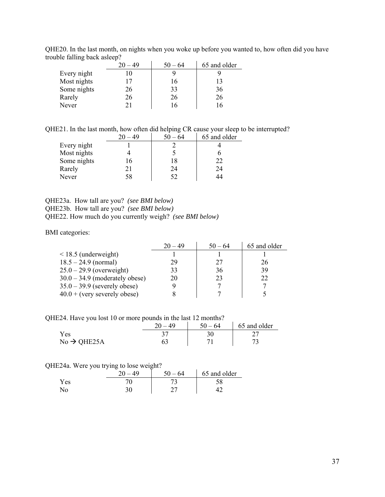|             | $20 - 49$ | $50 - 64$ | 65 and older |
|-------------|-----------|-----------|--------------|
| Every night |           |           |              |
| Most nights |           | 16        | 13           |
| Some nights | 26        | 33        | 36           |
| Rarely      | 26        | 26        | 26           |
| Never       |           |           | 16           |

QHE20. In the last month, on nights when you woke up before you wanted to, how often did you have trouble falling back asleep?

QHE21. In the last month, how often did helping CR cause your sleep to be interrupted?

|             |    | $50 - 64$ | 65 and older |
|-------------|----|-----------|--------------|
| Every night |    |           |              |
| Most nights |    |           |              |
| Some nights |    | 18        | 22           |
| Rarely      | 21 | 24        | 24           |
| Never       | 58 | 52        | 44           |
|             |    |           |              |

## QHE23a. How tall are you? *(see BMI below)* QHE23b. How tall are you? *(see BMI below)* QHE22. How much do you currently weigh? *(see BMI below)*

BMI categories:

|                                  | $20 - 49$ | $50 - 64$ | 65 and older |
|----------------------------------|-----------|-----------|--------------|
| $\leq$ 18.5 (underweight)        |           |           |              |
| $18.5 - 24.9$ (normal)           | 29        | 27        | 26           |
| $25.0 - 29.9$ (overweight)       | 33        | 36        | 39           |
| $30.0 - 34.9$ (moderately obese) | 20        | 23        | 22           |
| $35.0 - 39.9$ (severely obese)   |           |           |              |
| $40.0 + (very severely obese)$   |           |           |              |

QHE24. Have you lost 10 or more pounds in the last 12 months?

| $\sim$                  | $20 -$<br>$\Delta\Omega$ | $50 - 64$ | 65 and older |
|-------------------------|--------------------------|-----------|--------------|
| Yes                     |                          |           |              |
| $No \rightarrow QHE25A$ |                          |           |              |

## QHE24a. Were you trying to lose weight?

|      | <br>$\Delta$ Q | 50<br>$-64$ | 65 and older |
|------|----------------|-------------|--------------|
| Y es |                |             |              |
| NO   |                |             |              |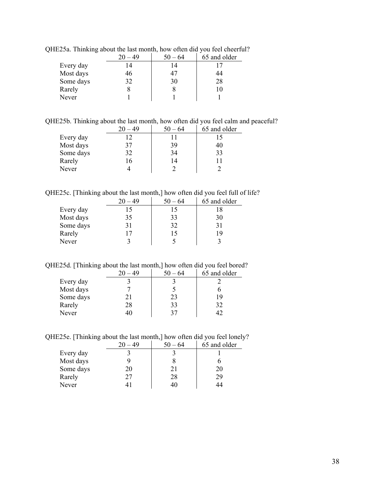|           | $20 - 49$ | $50 - 64$ | 65 and older |
|-----------|-----------|-----------|--------------|
| Every day | 14        |           |              |
| Most days | 46        | 47        | 44           |
| Some days | 32        | 30        | 28           |
| Rarely    |           |           |              |
| Never     |           |           |              |

QHE25a. Thinking about the last month, how often did you feel cheerful?

QHE25b. Thinking about the last month, how often did you feel calm and peaceful?

|           | $20 - 49$ | $50 - 64$ | 65 and older |
|-----------|-----------|-----------|--------------|
| Every day |           |           |              |
| Most days | 37        | 39        | 40           |
| Some days | 32        | 34        | 33           |
| Rarely    | 16        | 14        |              |
| Never     |           |           |              |

QHE25c. [Thinking about the last month,] how often did you feel full of life?

|           | $20 - 49$ | $50 - 64$ | 65 and older |
|-----------|-----------|-----------|--------------|
| Every day | 15        | 15        | 18           |
| Most days | 35        | 33        | 30           |
| Some days | 31        | 32        | 31           |
| Rarely    | 17        | 15        | 19           |
| Never     |           |           |              |

QHE25d. [Thinking about the last month,] how often did you feel bored?

|           | $20 - 49$ | $50 - 64$ | 65 and older |
|-----------|-----------|-----------|--------------|
| Every day |           |           |              |
| Most days |           |           |              |
| Some days |           | 23        | 19           |
| Rarely    | 28        | 33        | 32           |
| Never     |           |           |              |

QHE25e. [Thinking about the last month,] how often did you feel lonely?

|           | $20 - 49$ | $50 - 64$ | 65 and older |
|-----------|-----------|-----------|--------------|
| Every day |           |           |              |
| Most days |           |           |              |
| Some days | 20        | 21        | 20           |
| Rarely    | 27        | 28        | 29           |
| Never     |           | 40        | 44           |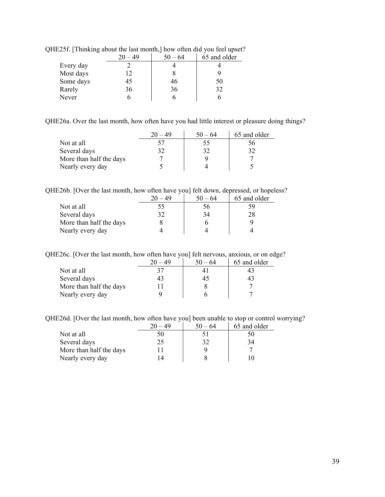|           | $20 - 49$ | $50 - 64$ | 65 and older |
|-----------|-----------|-----------|--------------|
| Every day |           |           |              |
| Most days |           |           |              |
| Some days | 45        | 46        | 50           |
| Rarely    | 36        | 36        | 32           |
| Never     |           |           |              |
|           |           |           |              |

QHE25f. [Thinking about the last month,] how often did you feel upset?

QHE26a. Over the last month, how often have you had little interest or pleasure doing things?

|                         | $20 - 49$ | $50 - 64$ | 65 and older |
|-------------------------|-----------|-----------|--------------|
| Not at all              |           | 55        | 56           |
| Several days            |           | 32        | 32           |
| More than half the days |           |           |              |
| Nearly every day        |           |           |              |

QHE26b. [Over the last month, how often have you] felt down, depressed, or hopeless?

|                         | $20 - 49$ | $50 - 64$    | 65 and older |
|-------------------------|-----------|--------------|--------------|
| Not at all              | 55        | $20^{\circ}$ | 59           |
| Several days            | 32        | 34           | 28           |
| More than half the days |           |              |              |
| Nearly every day        |           |              |              |

QHE26c. [Over the last month, how often have you] felt nervous, anxious, or on edge?

|                         | $20 - 49$ | $50 - 64$ | 65 and older |
|-------------------------|-----------|-----------|--------------|
| Not at all              |           |           |              |
| Several days            | 43        |           |              |
| More than half the days |           |           |              |
| Nearly every day        |           |           |              |

QHE26d. [Over the last month, how often have you] been unable to stop or control worrying?

|                         | $20 - 49$ | $50 - 64$ | 65 and older |
|-------------------------|-----------|-----------|--------------|
| Not at all              | 50        |           |              |
| Several days            | 25        | 32        |              |
| More than half the days |           |           |              |
| Nearly every day        |           |           |              |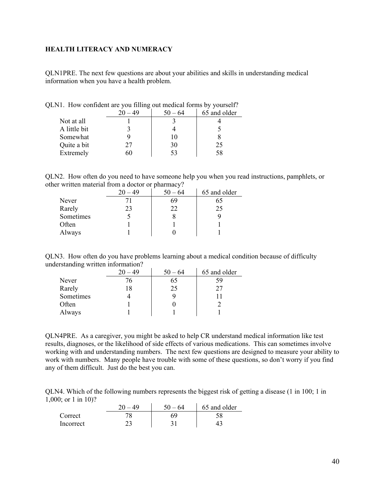## <span id="page-39-0"></span>**HEALTH LITERACY AND NUMERACY**

QLN1PRE. The next few questions are about your abilities and skills in understanding medical information when you have a health problem.

|              |     | $50 - 64$ | 65 and older |
|--------------|-----|-----------|--------------|
| Not at all   |     |           |              |
| A little bit |     |           |              |
| Somewhat     |     | 10        |              |
| Quite a bit  | 27  | 30        | 25           |
| Extremely    | າ() | 53        | 58           |
|              |     |           |              |

QLN1. How confident are you filling out medical forms by yourself?

QLN2. How often do you need to have someone help you when you read instructions, pamphlets, or other written material from a doctor or pharmacy?

|           | $20 - 49$ | $\overline{\phantom{a}}$<br>$50 - 64$ | 65 and older |
|-----------|-----------|---------------------------------------|--------------|
| Never     |           | 69                                    | 65           |
| Rarely    | 23        | 22                                    | 25           |
| Sometimes |           |                                       |              |
| Often     |           |                                       |              |
| Always    |           |                                       |              |

QLN3. How often do you have problems learning about a medical condition because of difficulty understanding written information?

|           | $20 - 49$ | $50 - 64$ | 65 and older |
|-----------|-----------|-----------|--------------|
| Never     | 76        | 65        | 59           |
| Rarely    | 18        | 25        | 27           |
| Sometimes |           |           |              |
| Often     |           |           |              |
| Always    |           |           |              |

QLN4PRE. As a caregiver, you might be asked to help CR understand medical information like test results, diagnoses, or the likelihood of side effects of various medications. This can sometimes involve working with and understanding numbers. The next few questions are designed to measure your ability to work with numbers. Many people have trouble with some of these questions, so don't worry if you find any of them difficult. Just do the best you can.

QLN4. Which of the following numbers represents the biggest risk of getting a disease (1 in 100; 1 in 1,000; or 1 in 10)?

|                  | $20 - 49$ | $50 - 64$ | 65 and older |
|------------------|-----------|-----------|--------------|
| Correct          |           |           |              |
| <b>Incorrect</b> |           |           |              |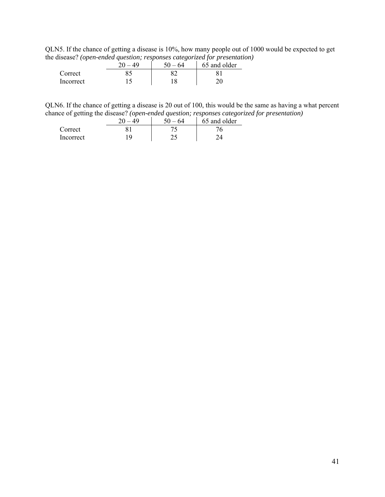QLN5. If the chance of getting a disease is 10%, how many people out of 1000 would be expected to get the disease? *(open-ended question; responses categorized for presentation)*

| . .       | ັ<br>50<br>64 | 65 and older |
|-----------|---------------|--------------|
| Correct   |               |              |
| Incorrect |               |              |

QLN6. If the chance of getting a disease is 20 out of 100, this would be the same as having a what percent chance of getting the disease? *(open-ended question; responses categorized for presentation)*

|           | 40 | - 50<br>- 64 | 65 and older |
|-----------|----|--------------|--------------|
| Correct   |    |              |              |
| Incorrect |    |              |              |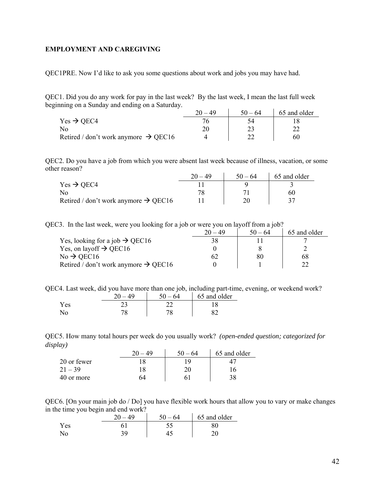## <span id="page-41-0"></span>**EMPLOYMENT AND CAREGIVING**

QEC1PRE. Now I'd like to ask you some questions about work and jobs you may have had.

QEC1. Did you do any work for pay in the last week? By the last week, I mean the last full week beginning on a Sunday and ending on a Saturday.

|                                                  | 20.<br>49 | $50 - 64$ | 65 and older |
|--------------------------------------------------|-----------|-----------|--------------|
| $Yes \rightarrow OEC4$                           |           |           |              |
| No                                               |           |           |              |
| Retired / don't work anymore $\rightarrow$ QEC16 |           |           |              |

QEC2. Do you have a job from which you were absent last week because of illness, vacation, or some other reason?  $\mathcal{L}_{\mathbf{r}}$ 

|                                                  | $20 - 49$ | $50 - 64$ | 65 and older |
|--------------------------------------------------|-----------|-----------|--------------|
| Yes $\rightarrow$ QEC4                           |           |           |              |
| No                                               |           |           | 60           |
| Retired / don't work anymore $\rightarrow$ QEC16 |           |           |              |

QEC3. In the last week, were you looking for a job or were you on layoff from a job?

|                                                  | $20 - 49$ | $50 - 64$ | 65 and older |
|--------------------------------------------------|-----------|-----------|--------------|
| Yes, looking for a job $\rightarrow$ QEC16       |           |           |              |
| Yes, on layoff $\rightarrow$ QEC16               |           |           |              |
| $No \rightarrow$ QEC16                           |           | 80        | 68           |
| Retired / don't work anymore $\rightarrow$ QEC16 |           |           |              |

QEC4. Last week, did you have more than one job, including part-time, evening, or weekend work?

|      | 40 | 50<br>-64 | 65 and older |
|------|----|-----------|--------------|
| Y es |    |           |              |
|      |    |           |              |

QEC5. How many total hours per week do you usually work? *(open-ended question; categorized for display)*   $\sim$ 

|             | 49<br>nΩ | $50 -$<br>64 | 65 and older |
|-------------|----------|--------------|--------------|
| 20 or fewer |          |              |              |
| $21 - 39$   | 18       | ∩∩           |              |
| 40 or more  | 54       |              | 38           |

QEC6. [On your main job do / Do] you have flexible work hours that allow you to vary or make changes in the time you begin and end work?

| . .<br>- | ጎሰ<br>40 | 50<br>64 | 65 and older |
|----------|----------|----------|--------------|
| Yes      |          |          |              |
|          | 20       |          |              |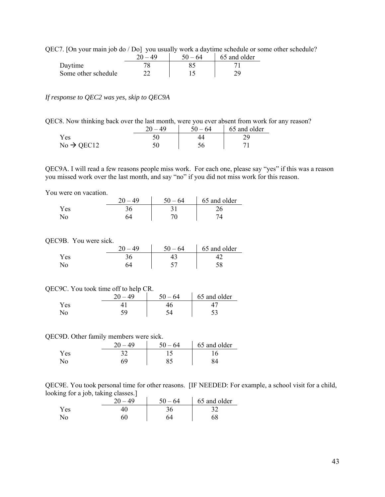QEC7. [On your main job do / Do] you usually work a daytime schedule or some other schedule?

|                     | $50 - 64$ | 65 and older |
|---------------------|-----------|--------------|
| Daytime             |           |              |
| Some other schedule |           |              |

*If response to QEC2 was yes, skip to QEC9A* 

| QEC8. Now thinking back over the last month, were you ever absent from work for any reason? |  |  |  |  |  |
|---------------------------------------------------------------------------------------------|--|--|--|--|--|
|                                                                                             |  |  |  |  |  |

|                        | ΔQ | $50 - 64$ | 65 and older |
|------------------------|----|-----------|--------------|
| Y es                   |    |           |              |
| $No \rightarrow$ QEC12 |    |           |              |

QEC9A. I will read a few reasons people miss work. For each one, please say "yes" if this was a reason you missed work over the last month, and say "no" if you did not miss work for this reason.

You were on vacation.

|     | $\Delta$ Q | 50<br>- 64 | 65 and older |
|-----|------------|------------|--------------|
| Yes |            |            |              |
|     |            |            |              |

QEC9B. You were sick.

|      | $\Delta$ Q<br>20 | $50 - 64$ | 65 and older |
|------|------------------|-----------|--------------|
| r es |                  |           |              |
| N٥   |                  |           |              |

#### QEC9C. You took time off to help CR.

|      | 40<br>20 | 50<br>– 64 | 65 and older |
|------|----------|------------|--------------|
| Y es |          |            |              |
|      |          |            |              |

QEC9D. Other family members were sick.

|            | ንስ<br>49 | 64 | 65 and older |
|------------|----------|----|--------------|
| <b>Yes</b> |          |    |              |
|            | 69       |    |              |

QEC9E. You took personal time for other reasons. [IF NEEDED: For example, a school visit for a child, looking for a job, taking classes.]

| -   | --<br>-<br>ጎሰ<br>40 | $50 -$<br>64 | 65 and older |
|-----|---------------------|--------------|--------------|
| Yes |                     |              |              |
| N٥  | 60                  |              |              |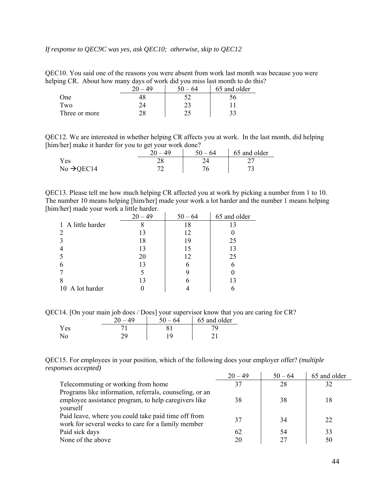## *If response to QEC9C was yes, ask QEC10; otherwise, skip to QEC12*

QEC10. You said one of the reasons you were absent from work last month was because you were helping CR. About how many days of work did you miss last month to do this?

|               | nΩ | 64 | 65 and older |
|---------------|----|----|--------------|
| One           |    |    | 20           |
| Two           |    | າາ |              |
| Three or more | າດ |    |              |

QEC12. We are interested in whether helping CR affects you at work. In the last month, did helping [him/her] make it harder for you to get your work done?

|                        | 49 | $50 - 64$ | 65 and older |
|------------------------|----|-----------|--------------|
| Yes                    |    |           |              |
| $No \rightarrow QEC14$ |    |           |              |

QEC13. Please tell me how much helping CR affected you at work by picking a number from 1 to 10. The number 10 means helping [him/her] made your work a lot harder and the number 1 means helping [him/her] made your work a little harder.

|                   | $20 - 49$ | $50 - 64$ | 65 and older |
|-------------------|-----------|-----------|--------------|
| 1 A little harder |           |           | 13           |
|                   | 13        | 12        |              |
|                   | 18        | 19        | 25           |
|                   | 13        |           | 13           |
|                   | 20        |           | 25           |
|                   | 13        |           |              |
|                   |           |           |              |
|                   | 13        |           | 13           |
| 10 A lot harder   |           |           |              |

QEC14. [On your main job does / Does] your supervisor know that you are caring for CR?

|      | - 64<br>٢Λ. | 65 and older |
|------|-------------|--------------|
| Y es |             |              |
|      |             |              |

QEC15. For employees in your position, which of the following does your employer offer? *(multiple responses accepted)*

|                                                         | $20 - 49$ | $50 - 64$ | 65 and older |
|---------------------------------------------------------|-----------|-----------|--------------|
| Telecommuting or working from home                      | 37        | 28        | 32           |
| Programs like information, referrals, counseling, or an |           |           |              |
| employee assistance program, to help caregivers like    | 38        | 38        | 18           |
| yourself                                                |           |           |              |
| Paid leave, where you could take paid time off from     | 37        | 34        | 22           |
| work for several weeks to care for a family member      |           |           |              |
| Paid sick days                                          | 62        | 54        | 33           |
| None of the above                                       | 20        | 27        | 50           |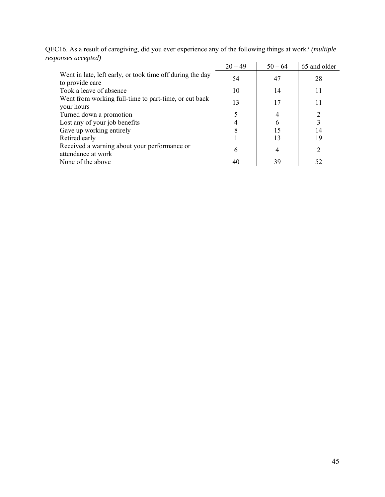|                                                                              | $20 - 49$ | $50 - 64$ | 65 and older |
|------------------------------------------------------------------------------|-----------|-----------|--------------|
| Went in late, left early, or took time off during the day<br>to provide care | 54        | 47        | 28           |
| Took a leave of absence                                                      | 10        | 14        | 11           |
| Went from working full-time to part-time, or cut back<br>your hours          | 13        | 17        | 11           |
| Turned down a promotion                                                      |           | 4         |              |
| Lost any of your job benefits                                                |           | 6         | 3            |
| Gave up working entirely                                                     | 8         | 15        | 14           |
| Retired early                                                                |           | 13        | 19           |
| Received a warning about your performance or<br>attendance at work           | 6         | 4         | ∍            |
| None of the above                                                            | 40        | 39        | 52           |

QEC16. As a result of caregiving, did you ever experience any of the following things at work? *(multiple responses accepted)*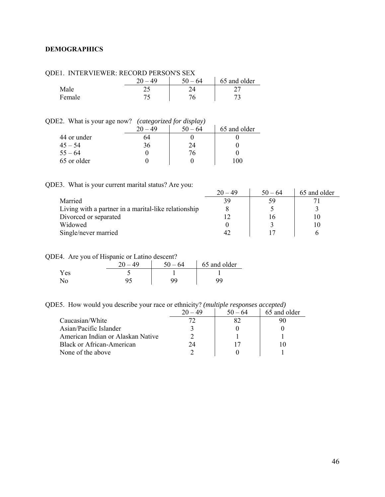## <span id="page-45-0"></span>**DEMOGRAPHICS**

| ODEI. INTERVIEWER: RECORD PERSON'S SEX |           |           |              |
|----------------------------------------|-----------|-----------|--------------|
|                                        | $20 - 49$ | $50 - 64$ | 65 and older |
| Male                                   |           |           |              |
| Female                                 |           |           |              |

# QDE1. INTERVIEWER: RECORD PERSON'S SEX

### QDE2. What is your age now? *(categorized for display)*

|             | 20 | $-64$ | 65 and older |
|-------------|----|-------|--------------|
| 44 or under |    |       |              |
| $45 - 54$   | 36 | 24    |              |
| $55 - 64$   |    | 76.   |              |
| 65 or older |    |       | 100          |

# QDE3. What is your current marital status? Are you:

|                                                      | $20 - 49$ | $50 - 64$ | 65 and older |
|------------------------------------------------------|-----------|-----------|--------------|
| Married                                              | 39        | 59        |              |
| Living with a partner in a marital-like relationship |           |           |              |
| Divorced or separated                                |           |           |              |
| Widowed                                              |           |           |              |
| Single/never married                                 |           |           |              |

# QDE4. Are you of Hispanic or Latino descent?

| . .  | 40 | 50<br>64 | 65 and older |
|------|----|----------|--------------|
| Y es |    |          |              |
|      |    |          |              |

QDE5. How would you describe your race or ethnicity? *(multiple responses accepted)* 

|                                   |    | $50 - 64$ | 65 and older |
|-----------------------------------|----|-----------|--------------|
| Caucasian/White                   |    |           |              |
| Asian/Pacific Islander            |    |           |              |
| American Indian or Alaskan Native |    |           |              |
| Black or African-American         | 74 |           |              |
| None of the above                 |    |           |              |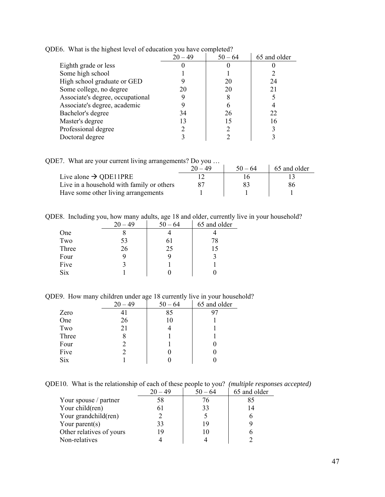|                                  | $20 - 49$ | $50 - 64$ | 65 and older |
|----------------------------------|-----------|-----------|--------------|
| Eighth grade or less             |           |           |              |
| Some high school                 |           |           |              |
| High school graduate or GED      |           | 20        | 24           |
| Some college, no degree          | 20        | 20        | 21           |
| Associate's degree, occupational |           |           |              |
| Associate's degree, academic     |           |           |              |
| Bachelor's degree                | 34        | 26        | 22           |
| Master's degree                  | 13        |           | 16           |
| Professional degree              |           |           |              |
| Doctoral degree                  |           |           |              |

QDE6. What is the highest level of education you have completed?

QDE7. What are your current living arrangements? Do you …

|                                           | $20 - 49$ | $50 - 64$ | 65 and older |
|-------------------------------------------|-----------|-----------|--------------|
| Live alone $\rightarrow$ QDE11PRE         |           |           |              |
| Live in a household with family or others |           |           |              |
| Have some other living arrangements       |           |           |              |

QDE8. Including you, how many adults, age 18 and older, currently live in your household?

|            | - 49 | $50 - 64$ | 65 and older |
|------------|------|-----------|--------------|
| One        |      |           |              |
| Two        | 53   | 61        | 78           |
| Three      | 26   | 25        | 15           |
| Four       |      |           |              |
| Five       |      |           |              |
| <b>Six</b> |      |           |              |
|            |      |           |              |

QDE9. How many children under age 18 currently live in your household?

|            | $20 - 49$ | $50 - 64$ | 65 and older |
|------------|-----------|-----------|--------------|
| Zero       |           | 85        | 97           |
| One        | 26        | 10        |              |
| Two        | 21        |           |              |
| Three      |           |           |              |
| Four       |           |           |              |
| Five       |           |           |              |
| <b>Six</b> |           |           |              |

QDE10. What is the relationship of each of these people to you? *(multiple responses accepted)* 

|                          | $20 - 49$ | $50 - 64$ | 65 and older |
|--------------------------|-----------|-----------|--------------|
| Your spouse / partner    | 58        | 76        | 85           |
| Your child(ren)          |           | 33        | 14           |
| Your grandchild(ren)     |           |           |              |
| Your parent(s)           | 33        | 19        |              |
| Other relatives of yours | 19        | 10        |              |
| Non-relatives            |           |           |              |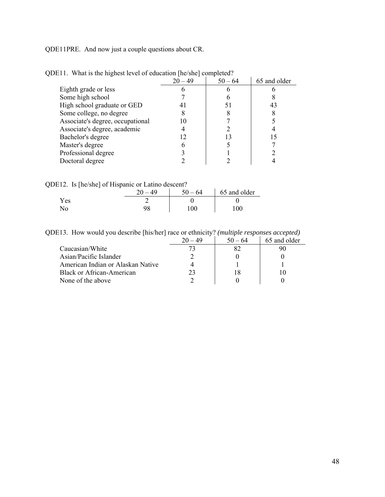QDE11PRE. And now just a couple questions about CR.

|                                  | $20 - 49$ | $50 - 64$ | 65 and older |
|----------------------------------|-----------|-----------|--------------|
| Eighth grade or less             |           |           |              |
| Some high school                 |           | O         |              |
| High school graduate or GED      |           | 51        | 43           |
| Some college, no degree          |           |           |              |
| Associate's degree, occupational |           |           |              |
| Associate's degree, academic     |           |           |              |
| Bachelor's degree                |           | 13        |              |
| Master's degree                  |           |           |              |
| Professional degree              |           |           |              |
| Doctoral degree                  |           |           |              |
|                                  |           |           |              |

QDE11. What is the highest level of education [he/she] completed?

| QDE12. Is [he/she] of Hispanic or Latino descent? |           |           |              |
|---------------------------------------------------|-----------|-----------|--------------|
|                                                   | $20 - 49$ | $50 - 64$ | 65 and older |
| Yes                                               |           |           |              |
| Nο                                                | 98        | 100       | 100          |

QDE13. How would you describe [his/her] race or ethnicity? *(multiple responses accepted)*

|                                   | $-49$ | $50 - 64$ | 65 and older |
|-----------------------------------|-------|-----------|--------------|
| Caucasian/White                   |       |           |              |
| Asian/Pacific Islander            |       |           |              |
| American Indian or Alaskan Native |       |           |              |
| Black or African-American         |       |           |              |
| None of the above                 |       |           |              |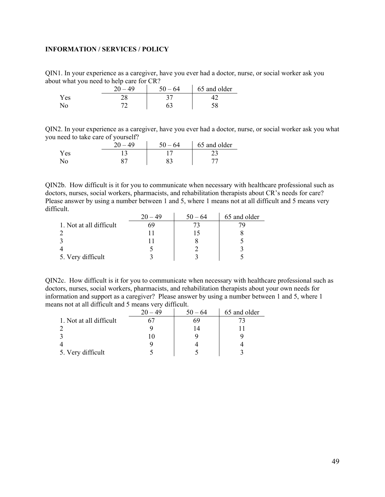# <span id="page-48-0"></span>**INFORMATION / SERVICES / POLICY**

QIN1. In your experience as a caregiver, have you ever had a doctor, nurse, or social worker ask you about what you need to help care for CR?

| . .  | -<br>49<br>$\Omega$ | $50 - 64$ | 65 and older |
|------|---------------------|-----------|--------------|
| Y es |                     |           |              |
|      |                     |           |              |

QIN2. In your experience as a caregiver, have you ever had a doctor, nurse, or social worker ask you what you need to take care of yourself?

|     | 40<br>ንስ | -64 | 65 and older |
|-----|----------|-----|--------------|
| Yes |          |     |              |
|     | ດ~       | റി  |              |

QIN2b. How difficult is it for you to communicate when necessary with healthcare professional such as doctors, nurses, social workers, pharmacists, and rehabilitation therapists about CR's needs for care? Please answer by using a number between 1 and 5, where 1 means not at all difficult and 5 means very difficult.

|                         | - 49 | $50 - 64$ | 65 and older |
|-------------------------|------|-----------|--------------|
| 1. Not at all difficult |      |           |              |
|                         |      |           |              |
|                         |      |           |              |
|                         |      |           |              |
| 5. Very difficult       |      |           |              |

QIN2c. How difficult is it for you to communicate when necessary with healthcare professional such as doctors, nurses, social workers, pharmacists, and rehabilitation therapists about your own needs for information and support as a caregiver? Please answer by using a number between 1 and 5, where 1 means not at all difficult and 5 means very difficult.

|                         | $-49$<br>20 | $50 - 64$ | 65 and older |
|-------------------------|-------------|-----------|--------------|
| 1. Not at all difficult |             | 69        |              |
|                         |             |           |              |
|                         |             |           |              |
|                         |             |           |              |
| 5. Very difficult       |             |           |              |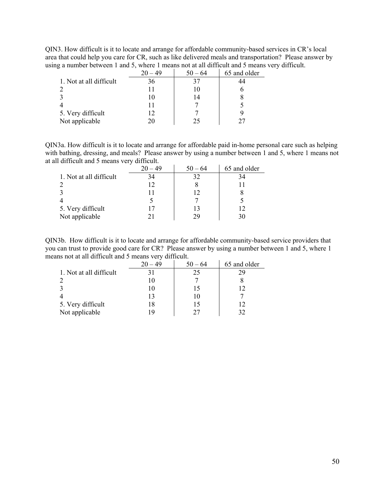QIN3. How difficult is it to locate and arrange for affordable community-based services in CR's local area that could help you care for CR, such as like delivered meals and transportation? Please answer by using a number between 1 and 5, where 1 means not at all difficult and 5 means very difficult.

|                         | $20 - 49$ | $50 - 64$ | 65 and older |
|-------------------------|-----------|-----------|--------------|
| 1. Not at all difficult | 36        |           |              |
|                         |           |           |              |
|                         | 10        | 14        |              |
|                         | 11        |           |              |
| 5. Very difficult       | 12        |           |              |
| Not applicable          | 20        |           |              |

QIN3a. How difficult is it to locate and arrange for affordable paid in-home personal care such as helping with bathing, dressing, and meals? Please answer by using a number between 1 and 5, where 1 means not at all difficult and 5 means very difficult.

|                         | ⊣<br>$20 - 49$ | $50 - 64$ | 65 and older |
|-------------------------|----------------|-----------|--------------|
| 1. Not at all difficult | 34             | 32        |              |
|                         | 12             |           |              |
|                         |                |           |              |
|                         |                |           |              |
| 5. Very difficult       |                |           | 12           |
| Not applicable          |                |           |              |

QIN3b. How difficult is it to locate and arrange for affordable community-based service providers that you can trust to provide good care for CR? Please answer by using a number between 1 and 5, where 1 means not at all difficult and 5 means very difficult.

|                         | $20 - 49$ | $50 - 64$ | 65 and older |
|-------------------------|-----------|-----------|--------------|
| 1. Not at all difficult |           | 25        | 29           |
|                         |           |           |              |
|                         |           |           |              |
|                         |           |           |              |
| 5. Very difficult       | 18        |           |              |
| Not applicable          |           |           | 37           |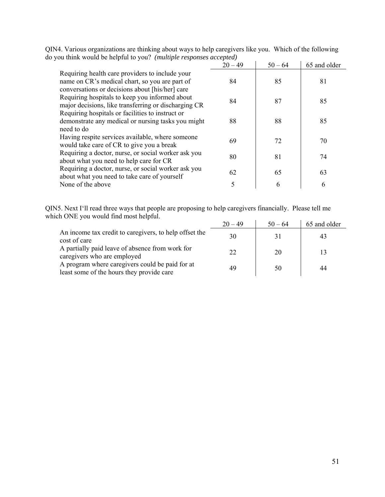| you uning would be helpful to you: $(m\mu\mu\mu\mu\sigma)$ responses accepted)                                                                            | $20 - 49$ | $50 - 64$ | 65 and older |
|-----------------------------------------------------------------------------------------------------------------------------------------------------------|-----------|-----------|--------------|
| Requiring health care providers to include your<br>name on CR's medical chart, so you are part of                                                         | 84        | 85        | 81           |
| conversations or decisions about [his/her] care<br>Requiring hospitals to keep you informed about<br>major decisions, like transferring or discharging CR | 84        | 87        | 85           |
| Requiring hospitals or facilities to instruct or<br>demonstrate any medical or nursing tasks you might<br>need to do                                      | 88        | 88        | 85           |
| Having respite services available, where someone<br>would take care of CR to give you a break                                                             | 69        | 72        | 70           |
| Requiring a doctor, nurse, or social worker ask you<br>about what you need to help care for CR                                                            | 80        | 81        | 74           |
| Requiring a doctor, nurse, or social worker ask you<br>about what you need to take care of yourself                                                       | 62        | 65        | 63           |
| None of the above                                                                                                                                         | 5         | 6         | 6            |

QIN4. Various organizations are thinking about ways to help caregivers like you. Which of the following do you think would be helpful to you? *(multiple responses accepted)* 

QIN5. Next I'll read three ways that people are proposing to help caregivers financially. Please tell me which ONE you would find most helpful.  $\ddot{\phantom{a}}$ l.

|                                                                                              | $20 - 49$ | $50 - 64$ | 65 and older |
|----------------------------------------------------------------------------------------------|-----------|-----------|--------------|
| An income tax credit to caregivers, to help offset the<br>cost of care                       | 30        | 31        | 43           |
| A partially paid leave of absence from work for<br>caregivers who are employed               | 22        | 20        |              |
| A program where caregivers could be paid for at<br>least some of the hours they provide care | 49        | 50        | 44           |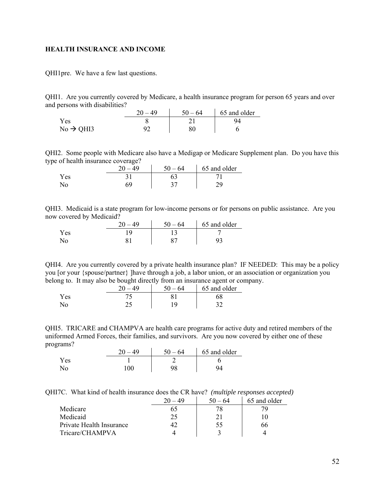#### <span id="page-51-0"></span>**HEALTH INSURANCE AND INCOME**

QHI1pre. We have a few last questions.

QHI1. Are you currently covered by Medicare, a health insurance program for person 65 years and over and persons with disabilities?

|                       | 49 | $50 - 64$ | 65 and older |
|-----------------------|----|-----------|--------------|
| Yes                   |    |           |              |
| $No \rightarrow QHI3$ |    |           |              |

QHI2. Some people with Medicare also have a Medigap or Medicare Supplement plan. Do you have this type of health insurance coverage?

|     | $\Delta$ Q | 50<br>$-64$ | 65 and older |
|-----|------------|-------------|--------------|
| Yes |            |             |              |
| No  |            |             |              |

QHI3. Medicaid is a state program for low-income persons or for persons on public assistance. Are you now covered by Medicaid?  $\sim$ 

|     | 49 | $50 - 64$ | 65 and older |
|-----|----|-----------|--------------|
| Yes |    |           |              |
|     |    |           |              |

QHI4. Are you currently covered by a private health insurance plan? IF NEEDED: This may be a policy you [or your {spouse/partner} ]have through a job, a labor union, or an association or organization you belong to. It may also be bought directly from an insurance agent or company.

|      | 20 | 50<br>64 | 65 and older |
|------|----|----------|--------------|
| Y es |    |          | 00           |
|      |    |          |              |

QHI5. TRICARE and CHAMPVA are health care programs for active duty and retired members of the uniformed Armed Forces, their families, and survivors. Are you now covered by either one of these programs?  $\mathcal{L}$ 

|     | ΔQ  | -64<br>$50 -$ | 65 and older |
|-----|-----|---------------|--------------|
| Yes |     |               |              |
| No  | 100 |               |              |

QHI7C. What kind of health insurance does the CR have? *(multiple responses accepted)*

|                          |    | $50 - 64$ | 65 and older |
|--------------------------|----|-----------|--------------|
| Medicare                 | o. |           |              |
| Medicaid                 | 25 |           |              |
| Private Health Insurance |    | 55        | 66           |
| Tricare/CHAMPVA          |    |           |              |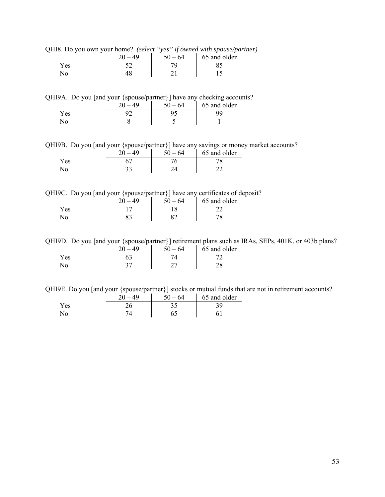| HI8. Do you own your nome! (select ves if owned with spouse/par |           |           |              |
|-----------------------------------------------------------------|-----------|-----------|--------------|
|                                                                 | $20 - 49$ | $50 - 64$ | 65 and older |
| Yes.                                                            |           |           |              |
| $N_{\Omega}$                                                    | 48        |           |              |

QHI8. Do you own your home? *(select "yes" if owned with spouse/partner)* 

QHI9A. Do you [and your {spouse/partner}] have any checking accounts?

| . .  | .<br>$\sim$<br>$\Delta\Omega$<br>nΩ | -64<br>50. | 65 and older |
|------|-------------------------------------|------------|--------------|
| r es |                                     |            |              |
| NO.  |                                     |            |              |

QHI9B. Do you [and your {spouse/partner}] have any savings or money market accounts?

|     | 40 | 50<br>$-64$ | 65 and older |
|-----|----|-------------|--------------|
| Yes |    |             |              |
|     |    |             |              |

QHI9C. Do you [and your {spouse/partner}] have any certificates of deposit?

|     | $\Delta$ $\Omega$ | cΛ<br>$-64$ | 65 and older |
|-----|-------------------|-------------|--------------|
| Yes |                   |             |              |
| No  |                   |             |              |

QHI9D. Do you [and your {spouse/partner}] retirement plans such as IRAs, SEPs, 401K, or 403b plans?

|      | 40<br>ኅሰ | ۲۸.<br>- 64 | 65 and older |
|------|----------|-------------|--------------|
| Y es |          |             |              |
| .NO  |          |             |              |

QHI9E. Do you [and your {spouse/partner}] stocks or mutual funds that are not in retirement accounts?

|     | 40 | .64 | 65 and older |
|-----|----|-----|--------------|
| Yes |    |     | ≏Ω⊹          |
| No  |    | ნა  |              |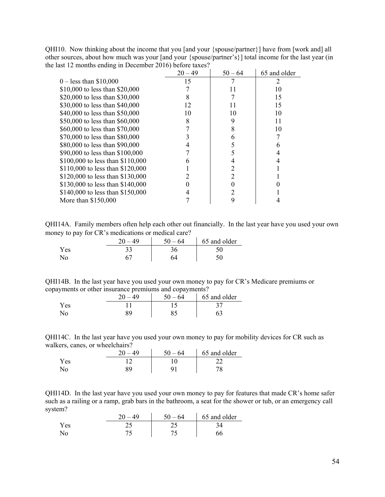QHI10. Now thinking about the income that you [and your {spouse/partner}] have from [work and] all other sources, about how much was your [and your {spouse/partner's}] total income for the last year (in the last 12 months ending in December 2016) before taxes?

|                                  | $20 - 49$ | $50 - 64$ | 65 and older |
|----------------------------------|-----------|-----------|--------------|
| $0 -$ less than \$10,000         | 15        |           |              |
| \$10,000 to less than \$20,000   |           |           | 10           |
| \$20,000 to less than \$30,000   |           |           | 15           |
| \$30,000 to less than \$40,000   | 12        |           | 15           |
| \$40,000 to less than \$50,000   | 10        | 10        | 10           |
| \$50,000 to less than \$60,000   | 8         | 9         | 11           |
| \$60,000 to less than \$70,000   |           | 8         | 10           |
| \$70,000 to less than \$80,000   |           | n         |              |
| \$80,000 to less than \$90,000   |           |           |              |
| \$90,000 to less than \$100,000  |           |           |              |
| \$100,000 to less than \$110,000 | h         |           |              |
| \$110,000 to less than \$120,000 |           |           |              |
| \$120,000 to less than \$130,000 |           |           |              |
| \$130,000 to less than \$140,000 |           |           |              |
| \$140,000 to less than \$150,000 |           |           |              |
| More than \$150,000              |           | 9         |              |

QHI14A. Family members often help each other out financially. In the last year have you used your own money to pay for CR's medications or medical care?

|                | 20<br>. 49 | $50 - 64$ | 65 and older |
|----------------|------------|-----------|--------------|
| Y es           |            |           |              |
| $\mathbb{N}_0$ |            | 54        |              |

| QHI14B. In the last year have you used your own money to pay for CR's Medicare premiums or |  |  |  |
|--------------------------------------------------------------------------------------------|--|--|--|
| copayments or other insurance premiums and copayments?                                     |  |  |  |

|      | 40 | $-64$<br>50. | 65 and older |
|------|----|--------------|--------------|
| Y es |    |              |              |
|      |    |              |              |

QHI14C. In the last year have you used your own money to pay for mobility devices for CR such as walkers, canes, or wheelchairs?  $\mathcal{L}_{\rm{in}}$ 

|      | ΔQ | 64<br>$50 -$ | 65 and older |
|------|----|--------------|--------------|
| Y es |    |              |              |
|      | QΟ |              |              |

QHI14D. In the last year have you used your own money to pay for features that made CR's home safer such as a railing or a ramp, grab bars in the bathroom, a seat for the shower or tub, or an emergency call system?

|     | ንስ | $50 -$<br>-64 | 65 and older |
|-----|----|---------------|--------------|
| (es |    |               |              |
|     |    |               |              |